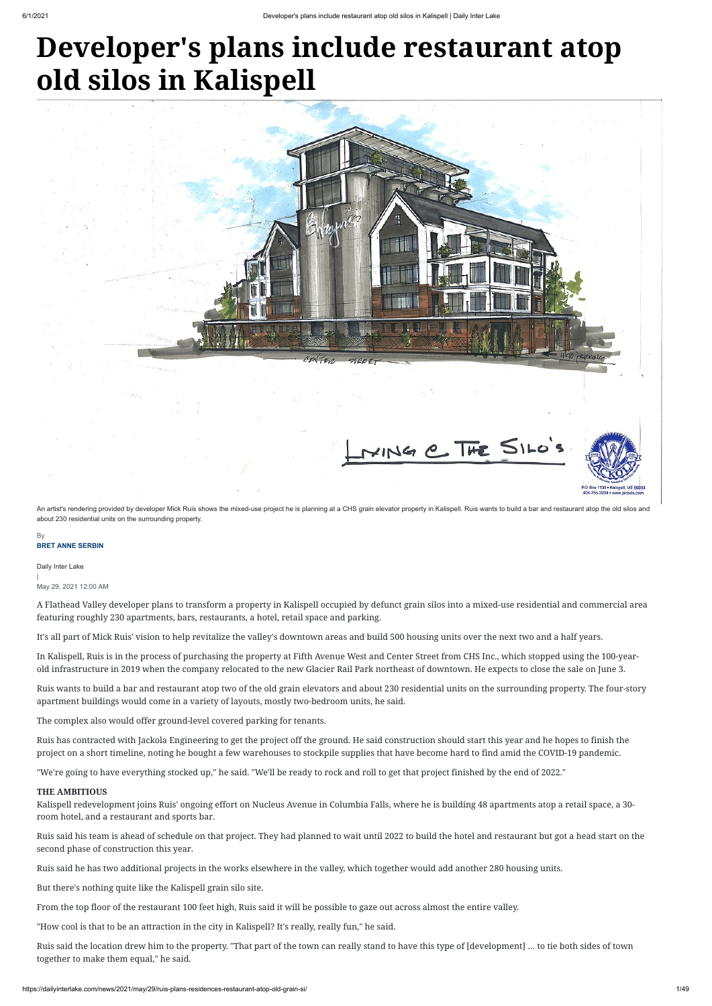## **BRET ANNE SERBIN B**

## **Developer's plans include restaurant atop old silos in Kalispell**



Daily Inter Lake | May 29, 2021 12:00 AM

A Flathead Valley developer plans to transform a property in Kalispell occupied by defunct grain silos into a mixed-use residential and commercial area featuring roughly 230 apartments, bars, restaurants, a hotel, retail space and parking.

It's all part of Mick Ruis' vision to help revitalize the valley's downtown areas and build 500 housing units over the next two and a half years.

In Kalispell, Ruis is in the process of purchasing the property at Fifth Avenue West and Center Street from CHS Inc., which stopped using the 100-yearold infrastructure in 2019 when the company relocated to the new Glacier Rail Park northeast of downtown. He expects to close the sale on June 3.

Ruis wants to build a bar and restaurant atop two of the old grain elevators and about 230 residential units on the surrounding property. The four-story apartment buildings would come in a variety of layouts, mostly two-bedroom units, he said.

The complex also would offer ground-level covered parking for tenants.

Ruis has contracted with Jackola Engineering to get the project off the ground. He said construction should start this year and he hopes to finish the project on a short timeline, noting he bought a few warehouses to stockpile supplies that have become hard to find amid the COVID-19 pandemic.

An artist's rendering provided by developer Mick Ruis shows the mixed-use project he is planning at a CHS grain elevator property in Kalispell. Ruis wants to build a bar and restaurant atop the old silos and about 230 residential units on the surrounding property.

"We're going to have everything stocked up," he said. "We'll be ready to rock and roll to get that project finished by the end of 2022."

## **THE AMBITIOUS**

Kalispell redevelopment joins Ruis' ongoing effort on Nucleus Avenue in Columbia Falls, where he is building 48 apartments atop a retail space, a 30 room hotel, and a restaurant and sports bar.

Ruis said his team is ahead of schedule on that project. They had planned to wait until 2022 to build the hotel and restaurant but got a head start on the second phase of construction this year.

Ruis said he has two additional projects in the works elsewhere in the valley, which together would add another 280 housing units.

But there's nothing quite like the Kalispell grain silo site.

From the top floor of the restaurant 100 feet high, Ruis said it will be possible to gaze out across almost the entire valley.

"How cool is that to be an attraction in the city in Kalispell? It's really, really fun," he said.

Ruis said the location drew him to the property. "That part of the town can really stand to have this type of [development] … to tie both sides of town together to make them equal," he said.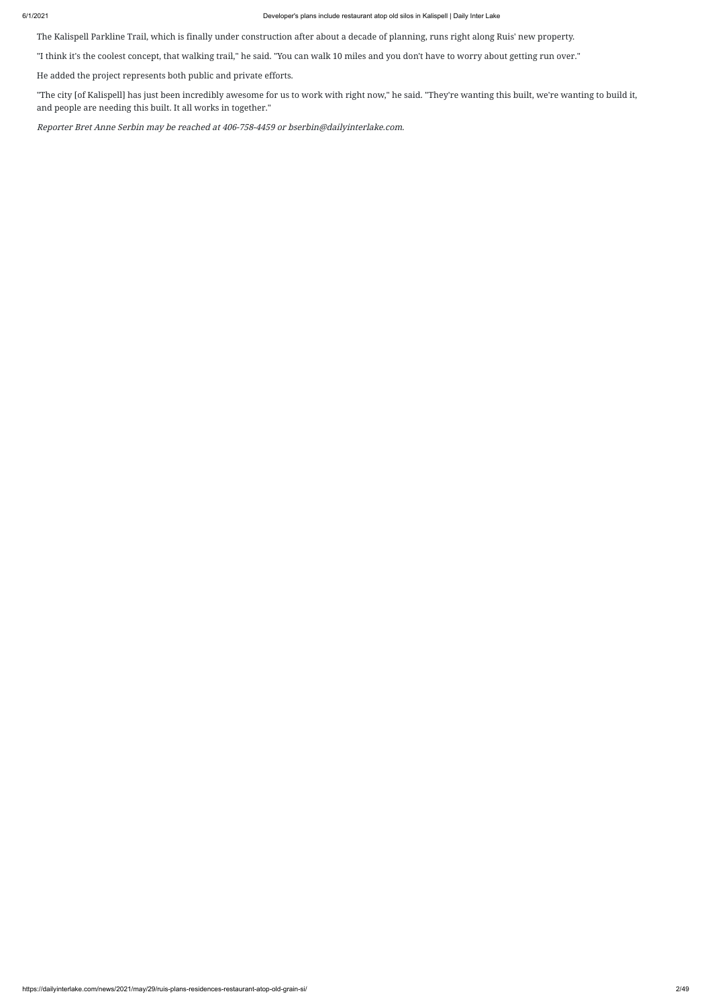https://dailyinterlake.com/news/2021/may/29/ruis-plans-residences-restaurant-atop-old-grain-si/ 2/49

The Kalispell Parkline Trail, which is finally under construction after about a decade of planning, runs right along Ruis' new property.

"I think it's the coolest concept, that walking trail," he said. "You can walk 10 miles and you don't have to worry about getting run over."

He added the project represents both public and private efforts.

"The city [of Kalispell] has just been incredibly awesome for us to work with right now," he said. "They're wanting this built, we're wanting to build it, and people are needing this built. It all works in together."

Reporter Bret Anne Serbin may be reached at 406-758-4459 or bserbin@dailyinterlake.com.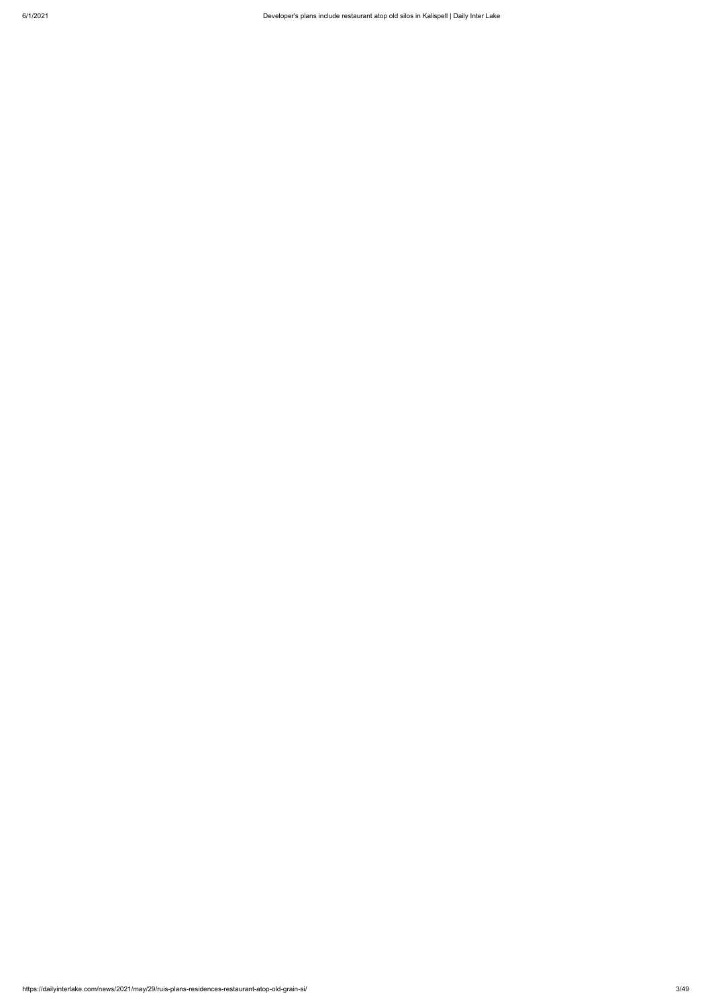https://dailyinterlake.com/news/2021/may/29/ruis-plans-residences-restaurant-atop-old-grain-si/ 3/49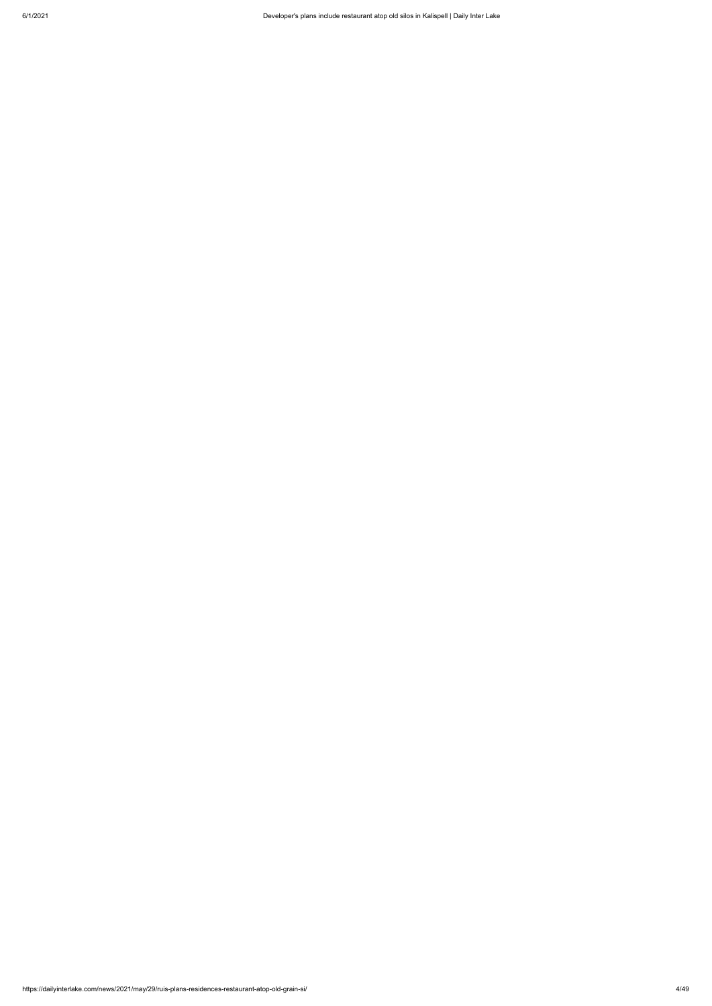https://dailyinterlake.com/news/2021/may/29/ruis-plans-residences-restaurant-atop-old-grain-si/ 4/49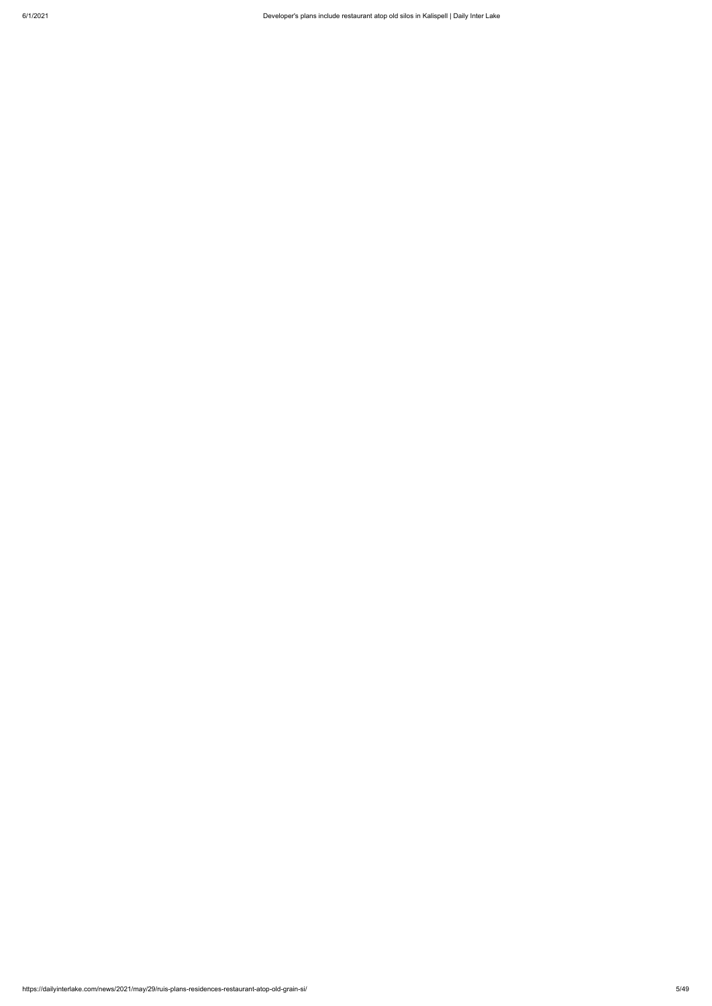https://dailyinterlake.com/news/2021/may/29/ruis-plans-residences-restaurant-atop-old-grain-si/ 5/49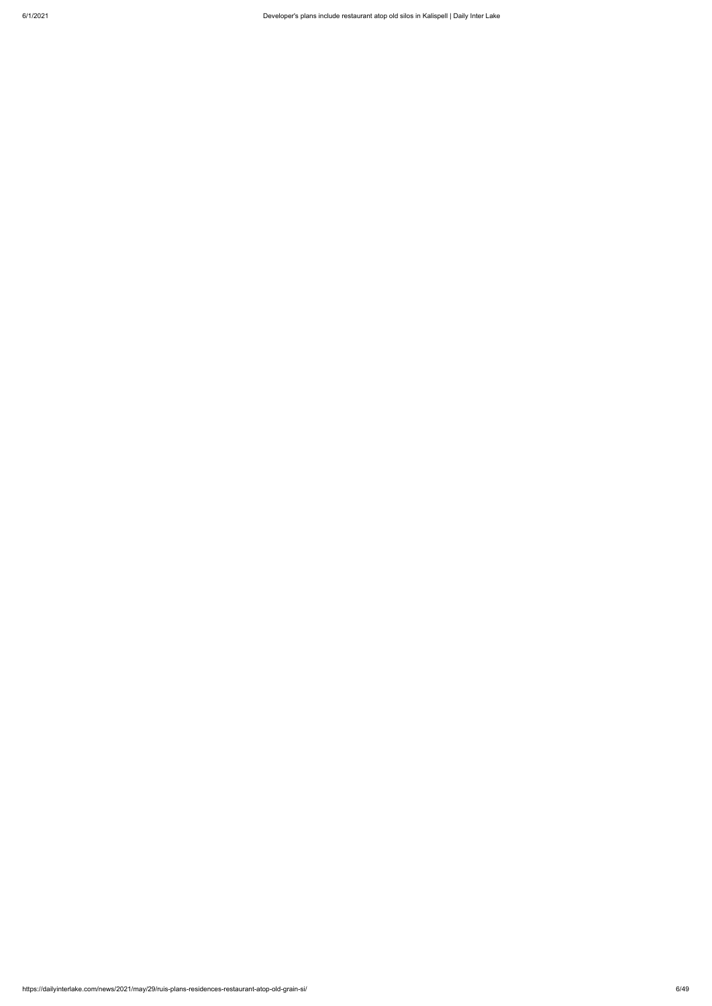https://dailyinterlake.com/news/2021/may/29/ruis-plans-residences-restaurant-atop-old-grain-si/ 6/49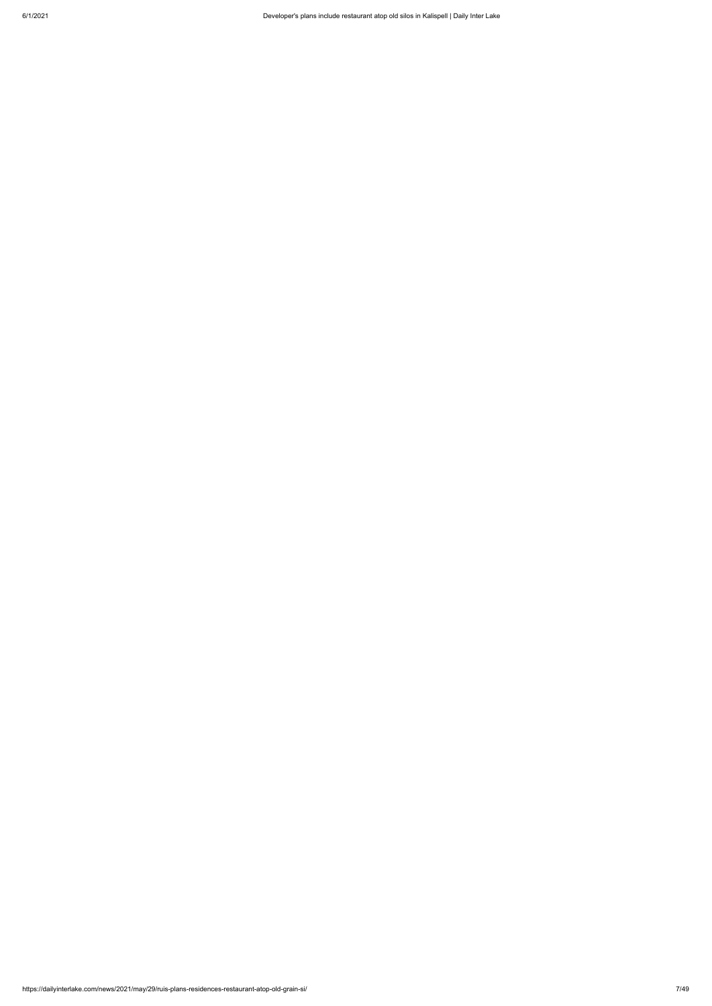https://dailyinterlake.com/news/2021/may/29/ruis-plans-residences-restaurant-atop-old-grain-si/ 7/49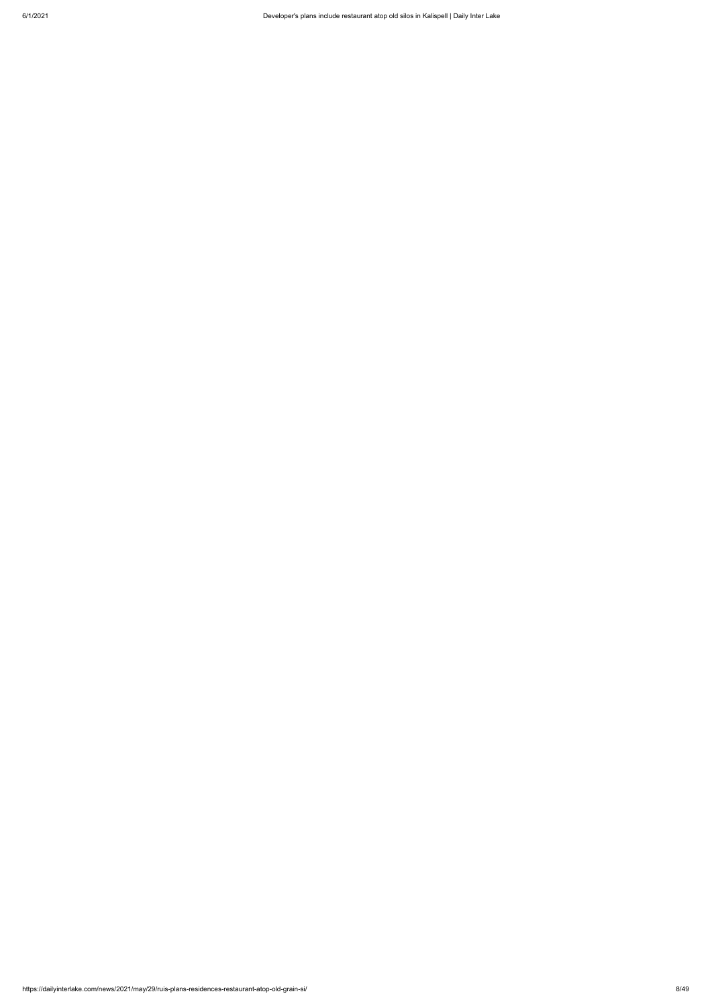https://dailyinterlake.com/news/2021/may/29/ruis-plans-residences-restaurant-atop-old-grain-si/ 8/49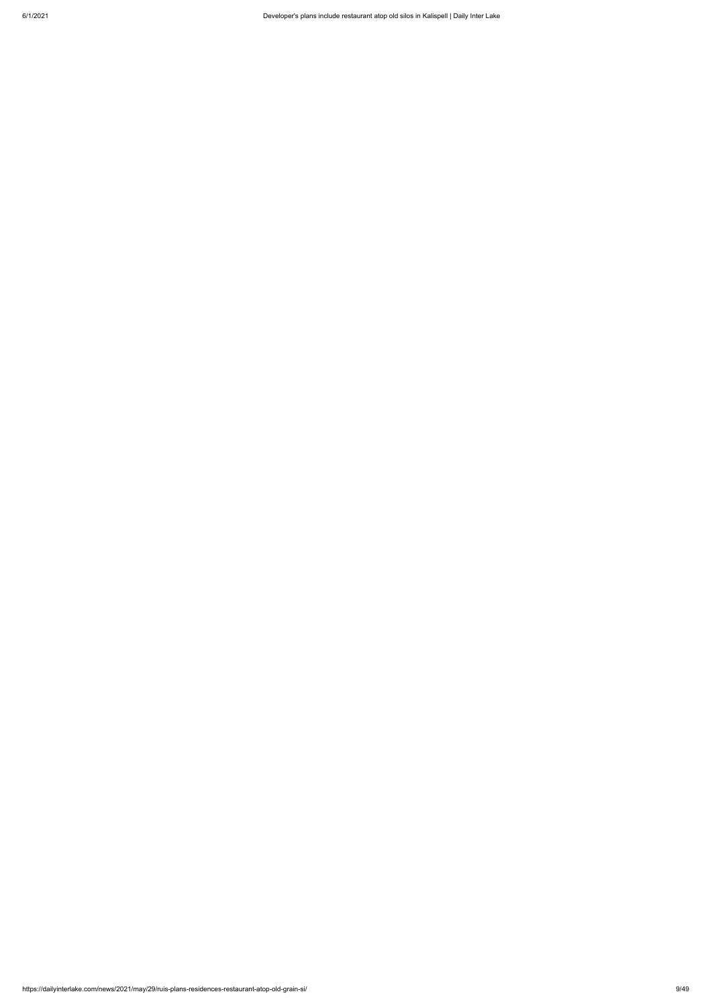https://dailyinterlake.com/news/2021/may/29/ruis-plans-residences-restaurant-atop-old-grain-si/ 9/49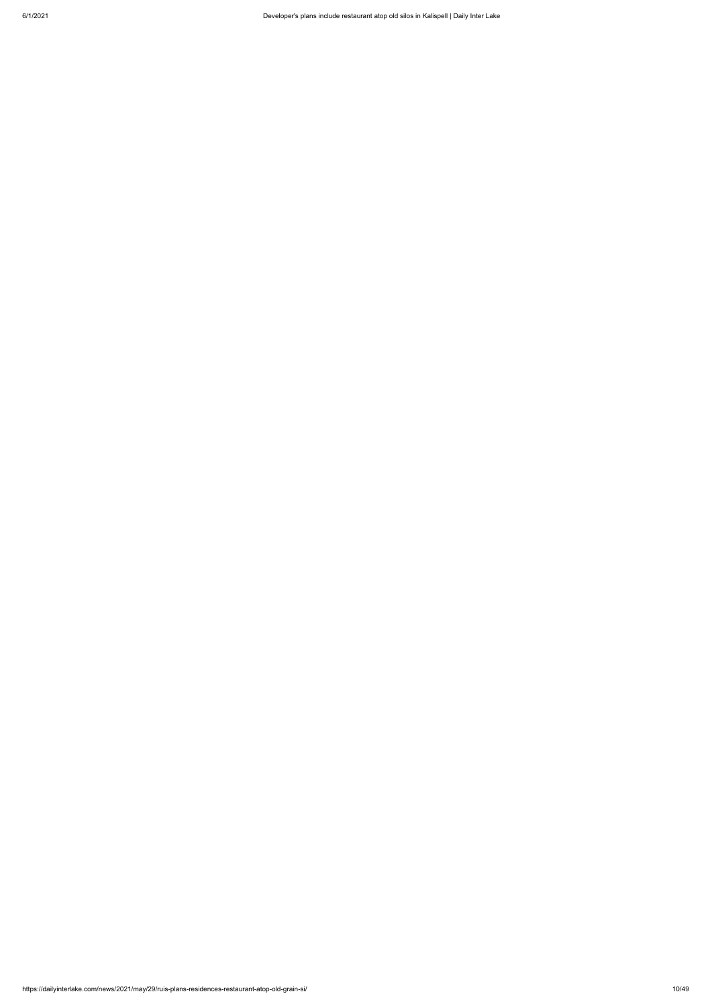https://dailyinterlake.com/news/2021/may/29/ruis-plans-residences-restaurant-atop-old-grain-si/ 10/49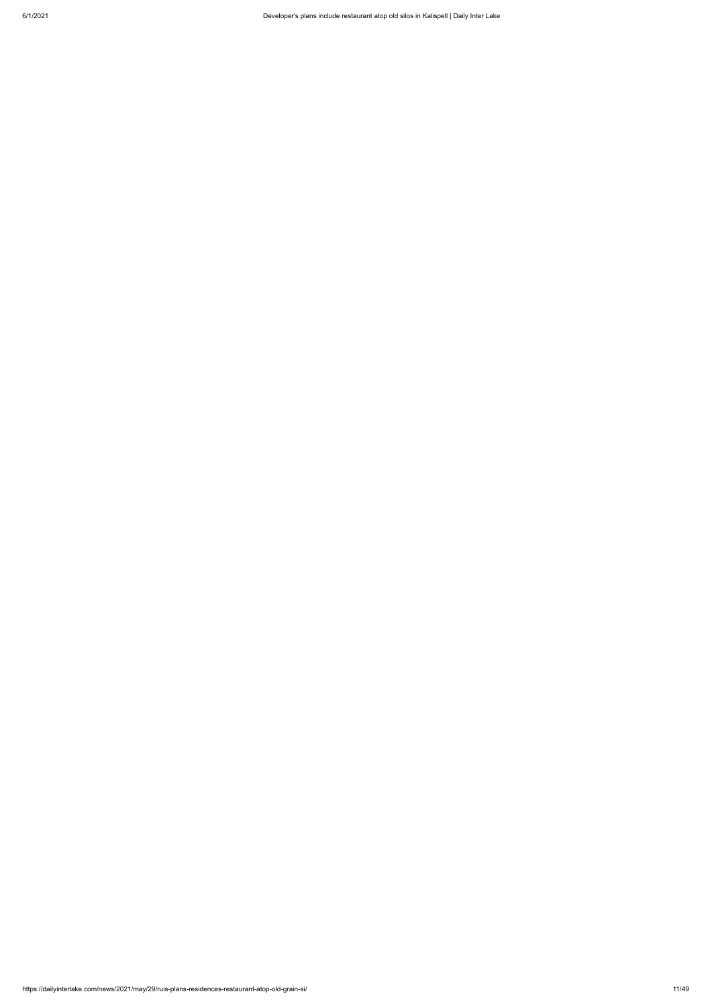https://dailyinterlake.com/news/2021/may/29/ruis-plans-residences-restaurant-atop-old-grain-si/ 11/49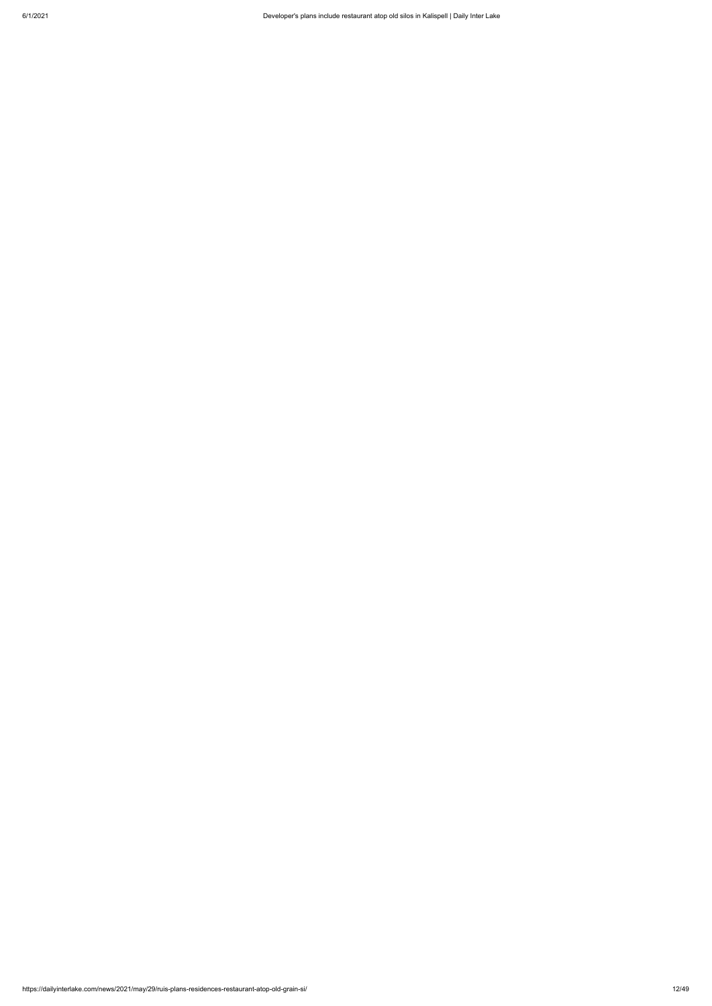https://dailyinterlake.com/news/2021/may/29/ruis-plans-residences-restaurant-atop-old-grain-si/ 12/49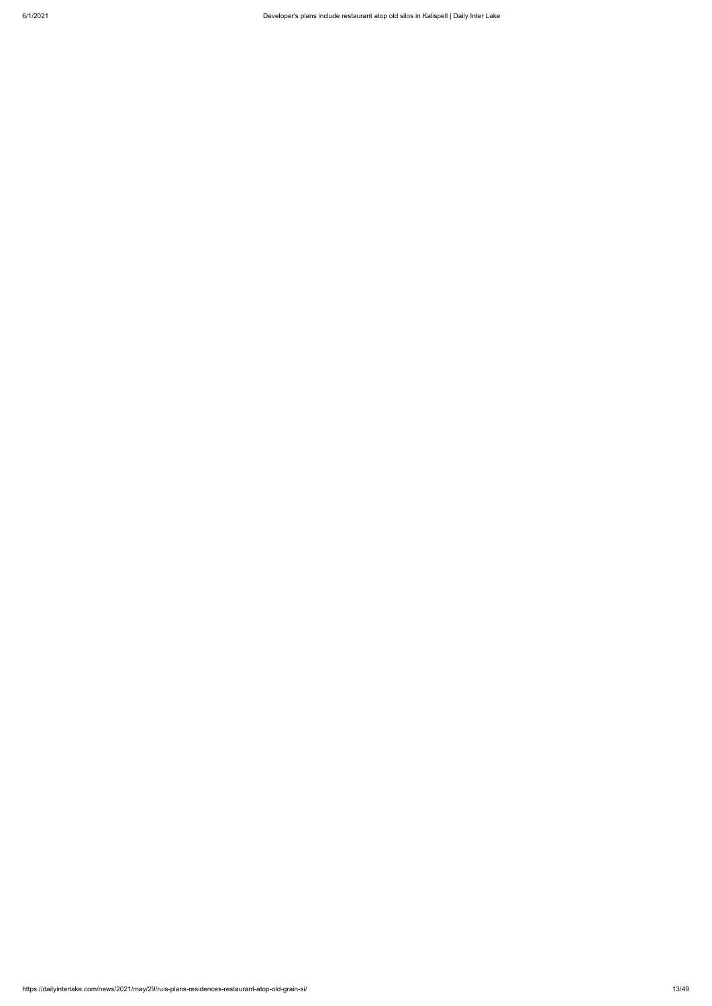https://dailyinterlake.com/news/2021/may/29/ruis-plans-residences-restaurant-atop-old-grain-si/ 13/49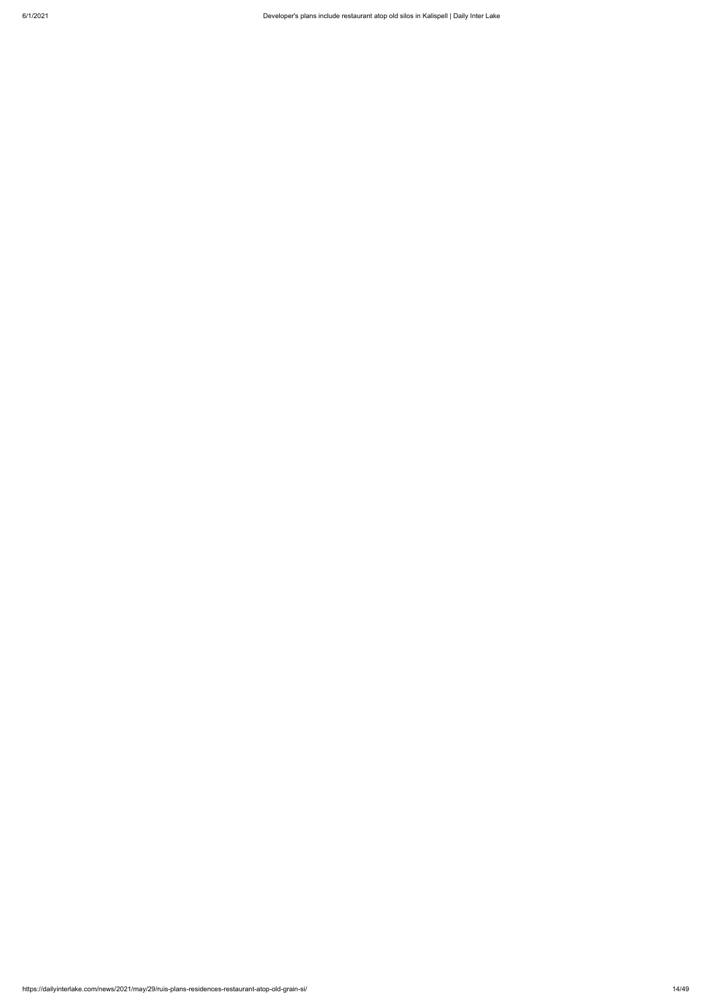https://dailyinterlake.com/news/2021/may/29/ruis-plans-residences-restaurant-atop-old-grain-si/ 14/49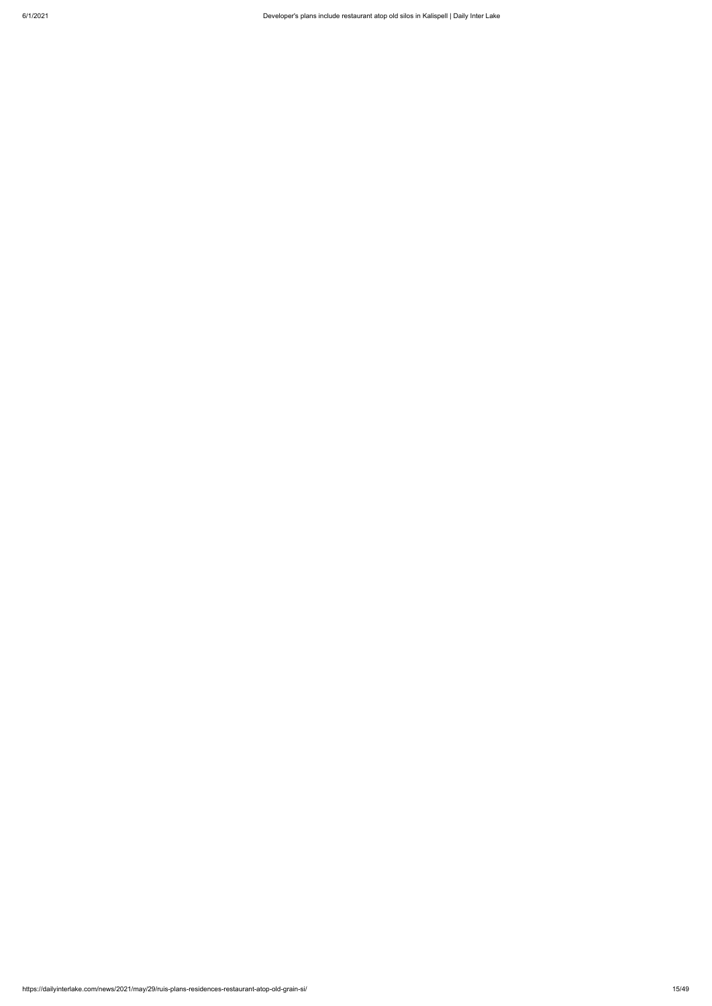https://dailyinterlake.com/news/2021/may/29/ruis-plans-residences-restaurant-atop-old-grain-si/ 15/49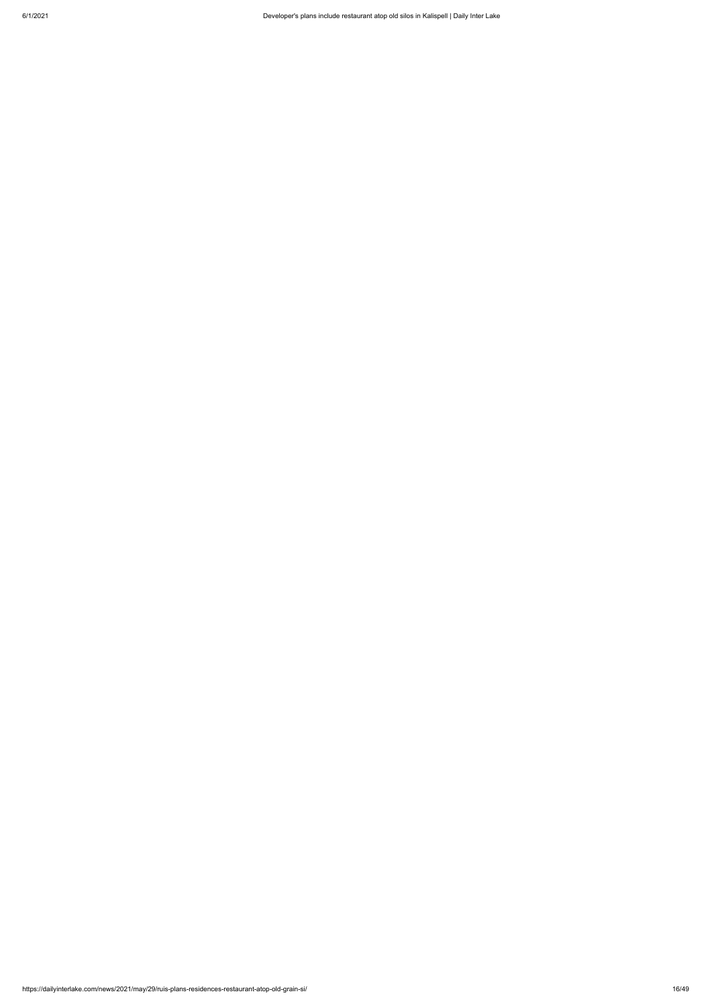https://dailyinterlake.com/news/2021/may/29/ruis-plans-residences-restaurant-atop-old-grain-si/ 16/49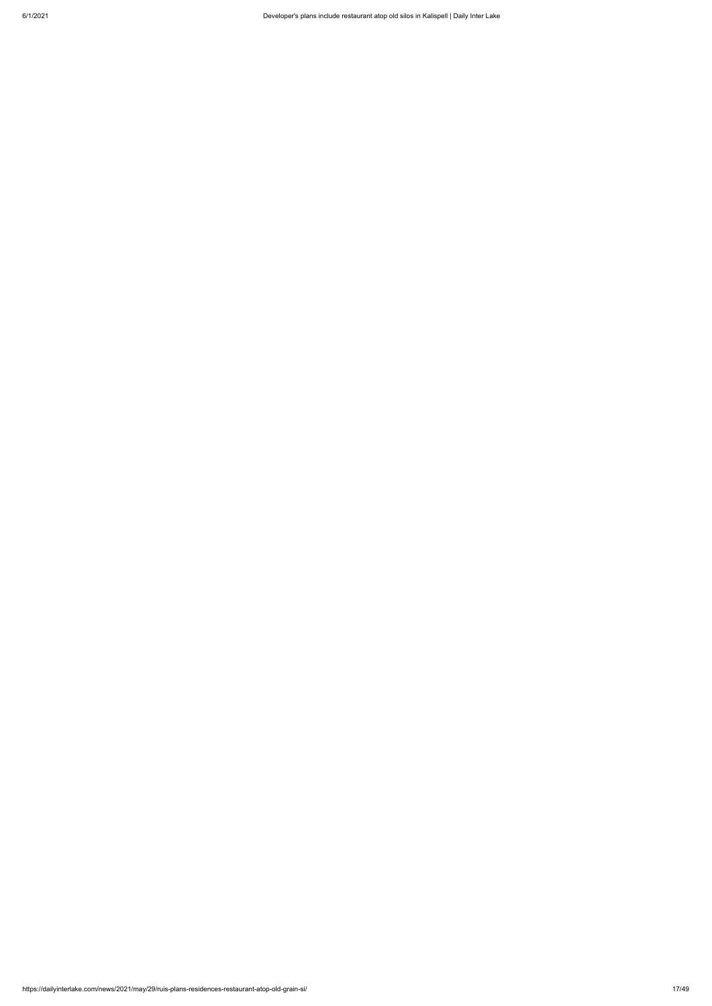https://dailyinterlake.com/news/2021/may/29/ruis-plans-residences-restaurant-atop-old-grain-si/ 17/49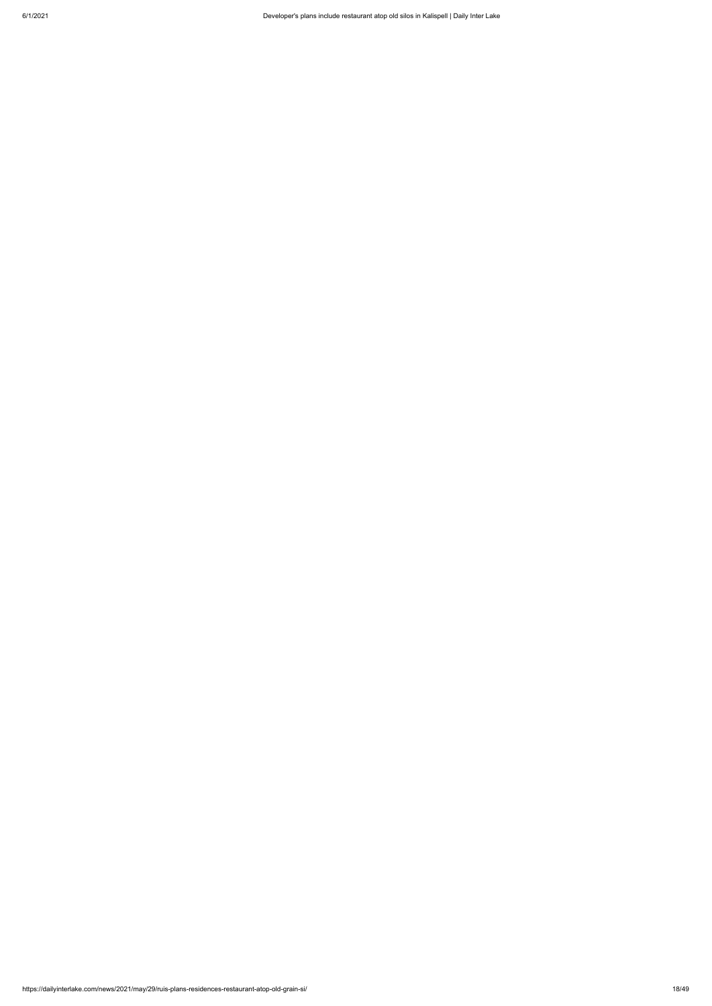https://dailyinterlake.com/news/2021/may/29/ruis-plans-residences-restaurant-atop-old-grain-si/ 18/49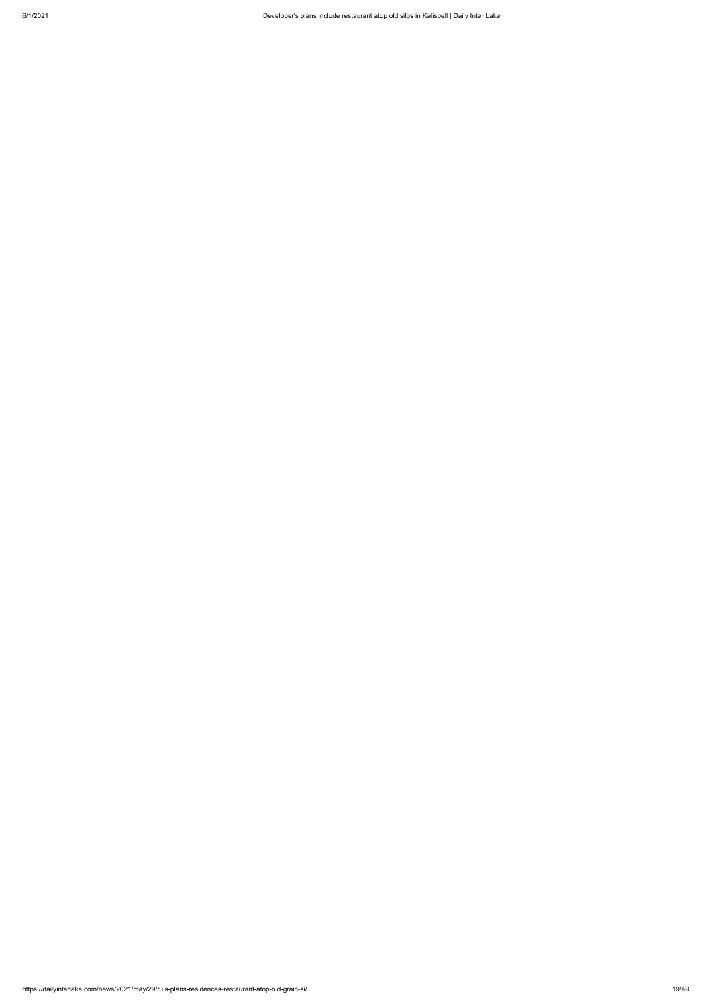https://dailyinterlake.com/news/2021/may/29/ruis-plans-residences-restaurant-atop-old-grain-si/ 19/49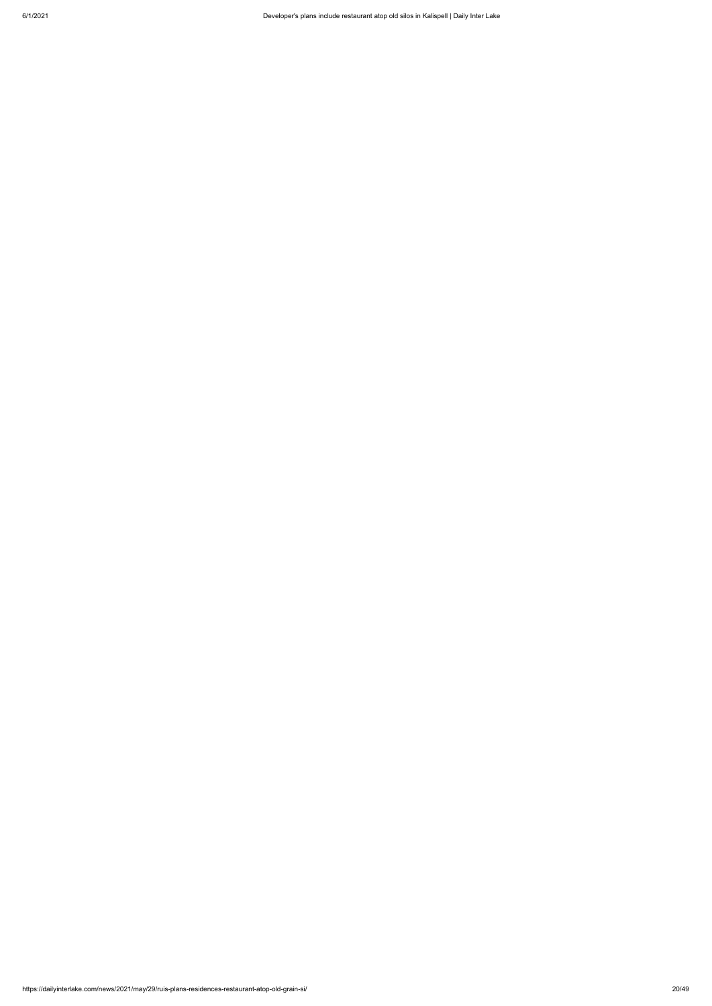https://dailyinterlake.com/news/2021/may/29/ruis-plans-residences-restaurant-atop-old-grain-si/ 20/49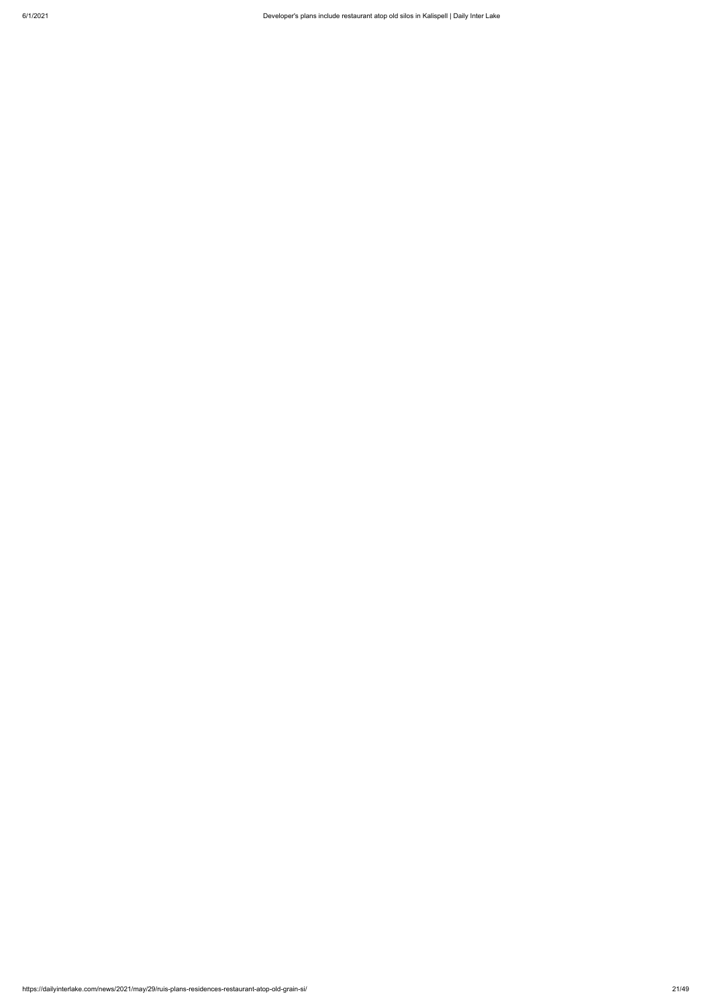https://dailyinterlake.com/news/2021/may/29/ruis-plans-residences-restaurant-atop-old-grain-si/ 21/49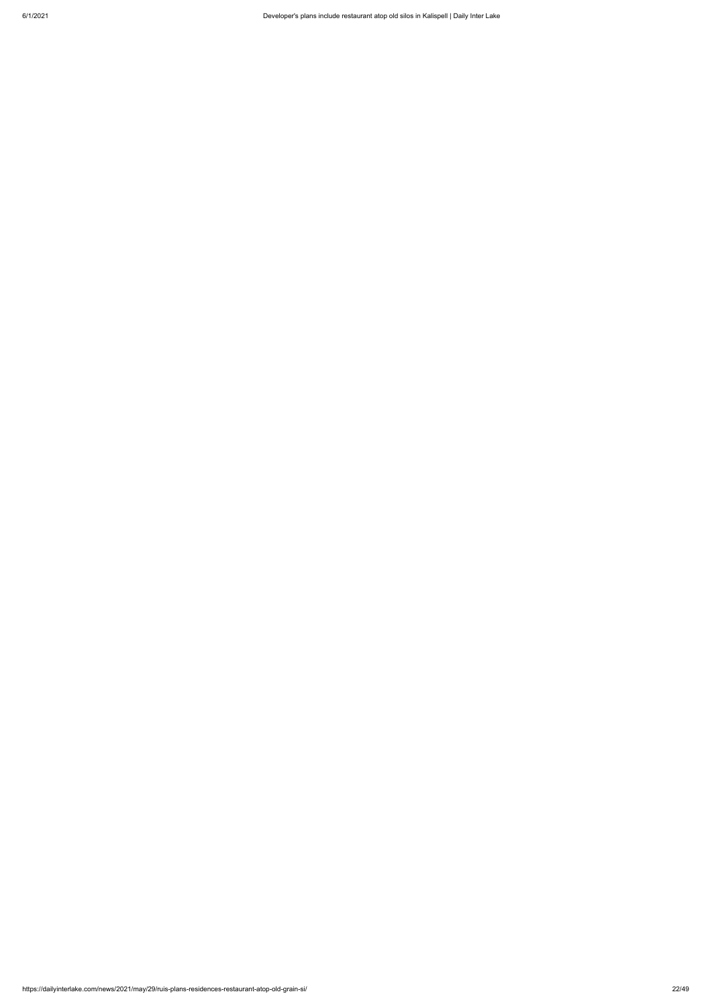https://dailyinterlake.com/news/2021/may/29/ruis-plans-residences-restaurant-atop-old-grain-si/ 22/49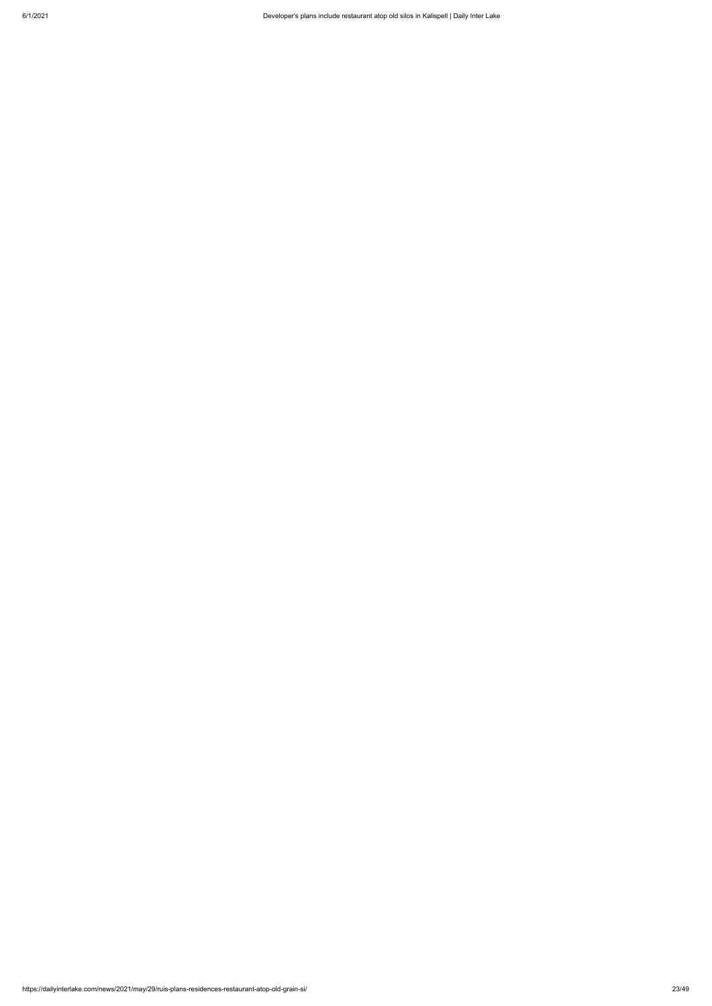https://dailyinterlake.com/news/2021/may/29/ruis-plans-residences-restaurant-atop-old-grain-si/ 23/49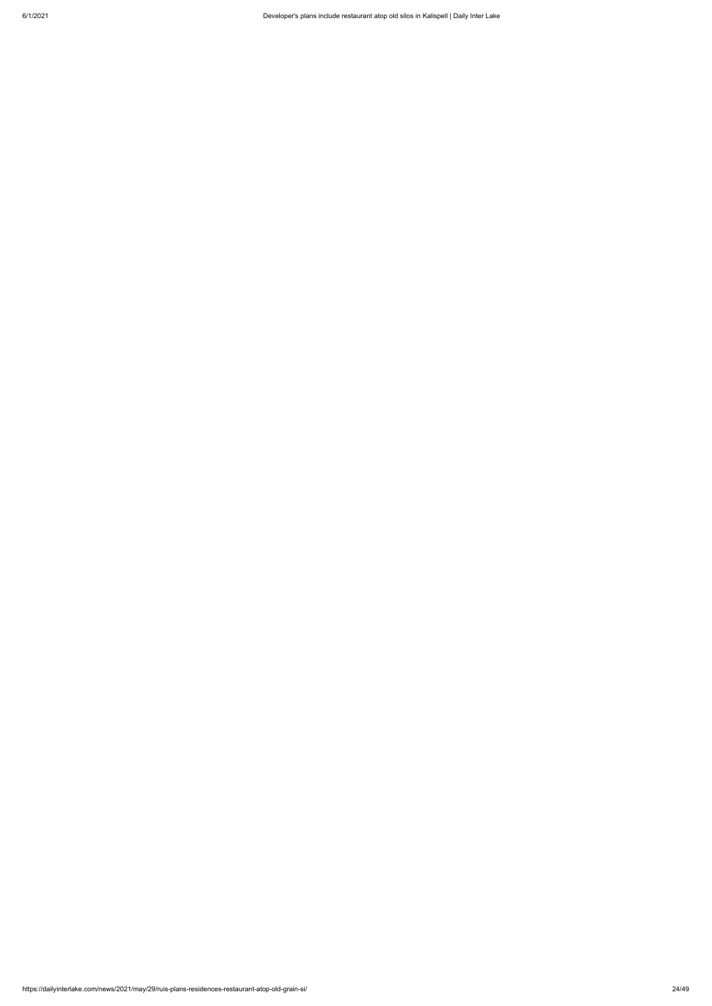https://dailyinterlake.com/news/2021/may/29/ruis-plans-residences-restaurant-atop-old-grain-si/ 24/49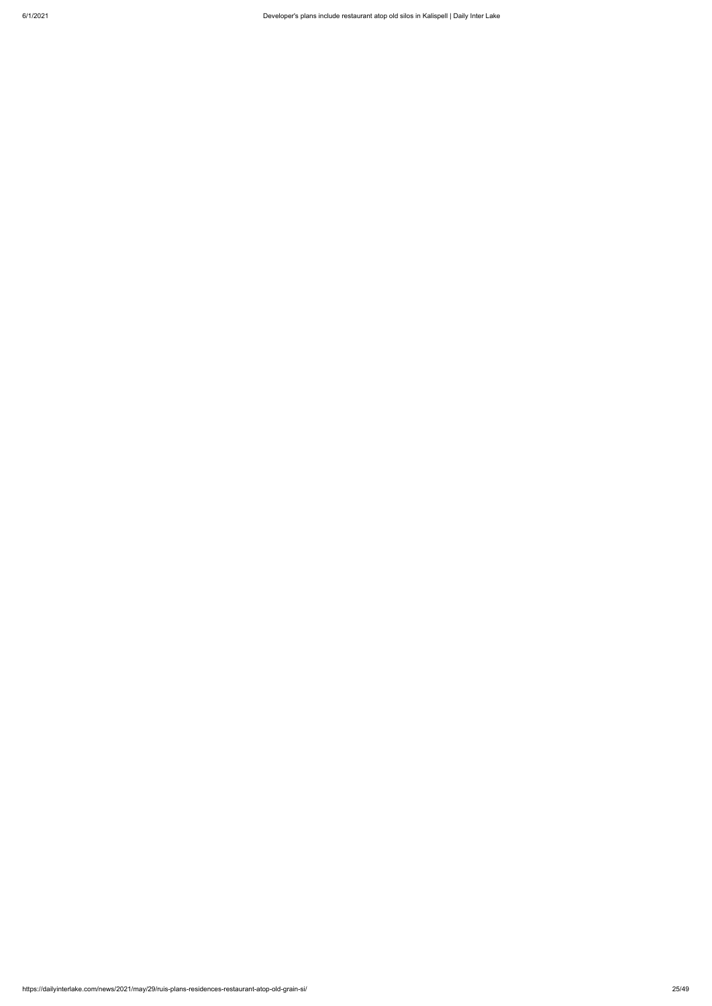https://dailyinterlake.com/news/2021/may/29/ruis-plans-residences-restaurant-atop-old-grain-si/ 25/49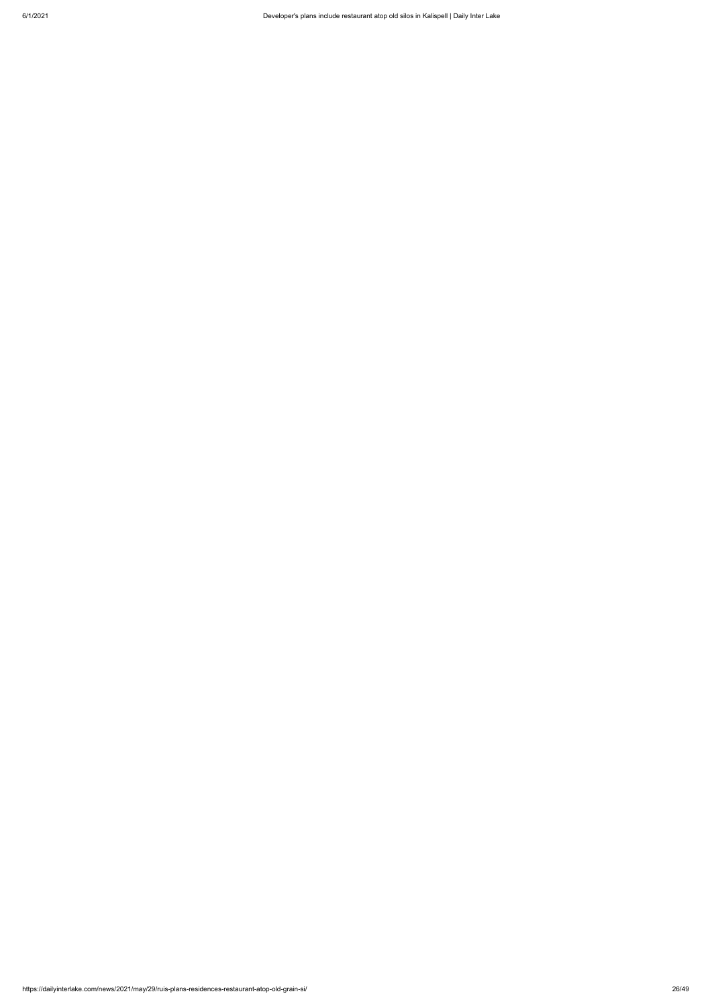https://dailyinterlake.com/news/2021/may/29/ruis-plans-residences-restaurant-atop-old-grain-si/ 26/49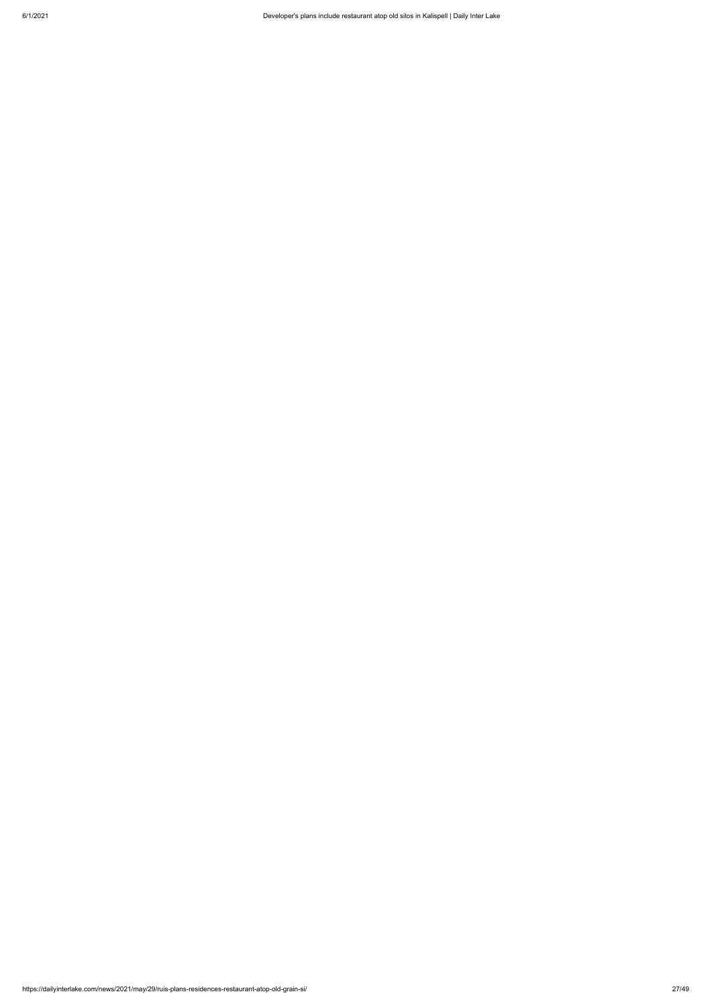https://dailyinterlake.com/news/2021/may/29/ruis-plans-residences-restaurant-atop-old-grain-si/ 27/49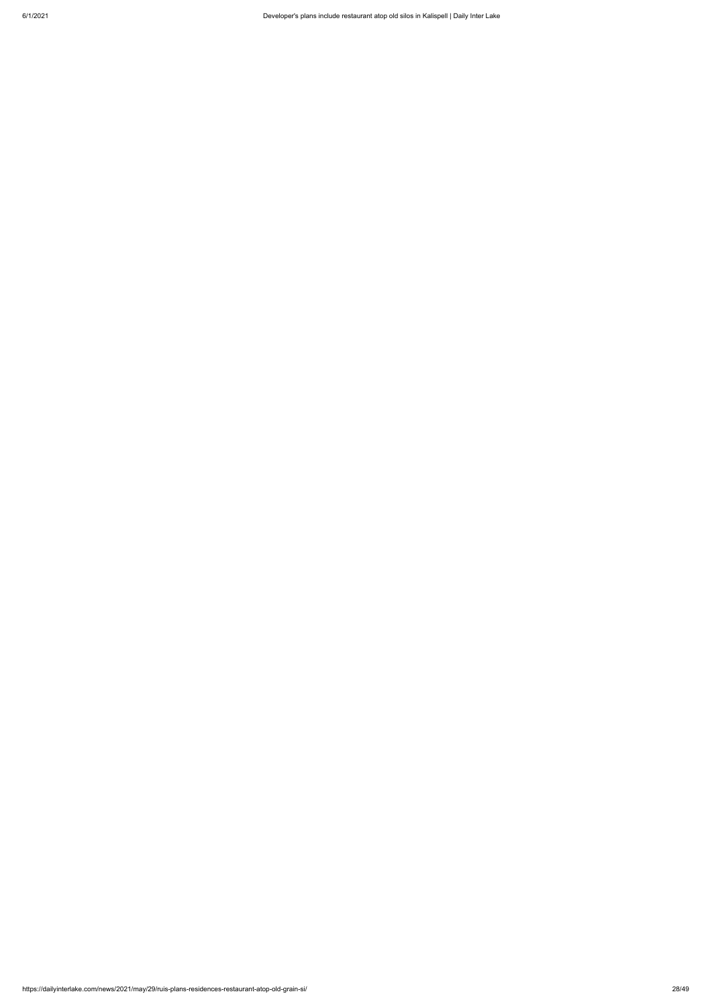https://dailyinterlake.com/news/2021/may/29/ruis-plans-residences-restaurant-atop-old-grain-si/ 28/49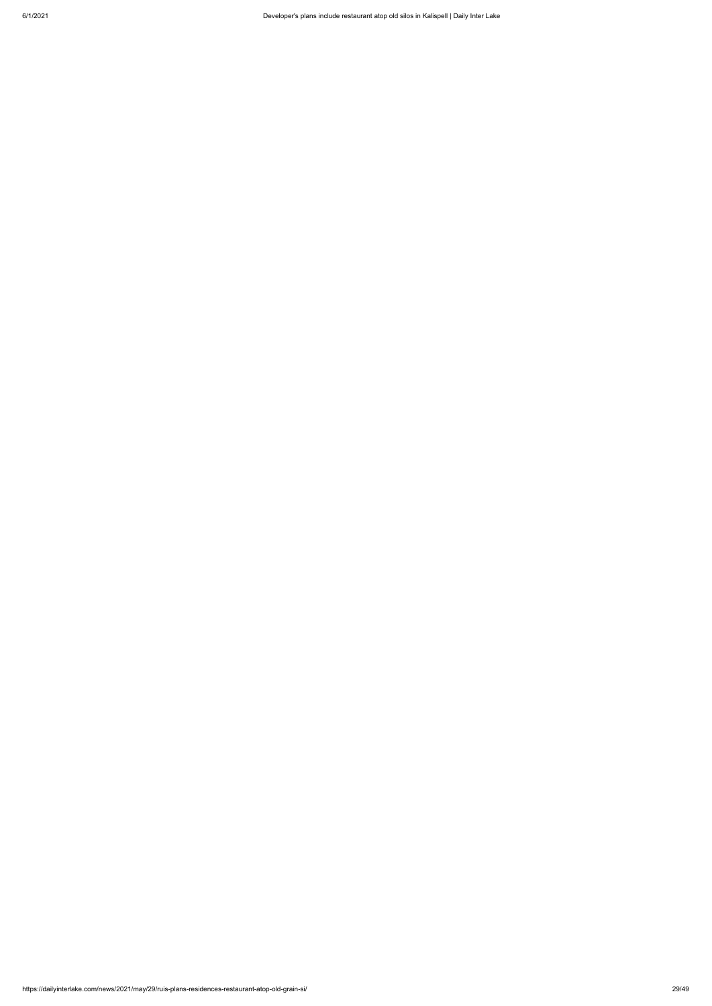https://dailyinterlake.com/news/2021/may/29/ruis-plans-residences-restaurant-atop-old-grain-si/ 29/49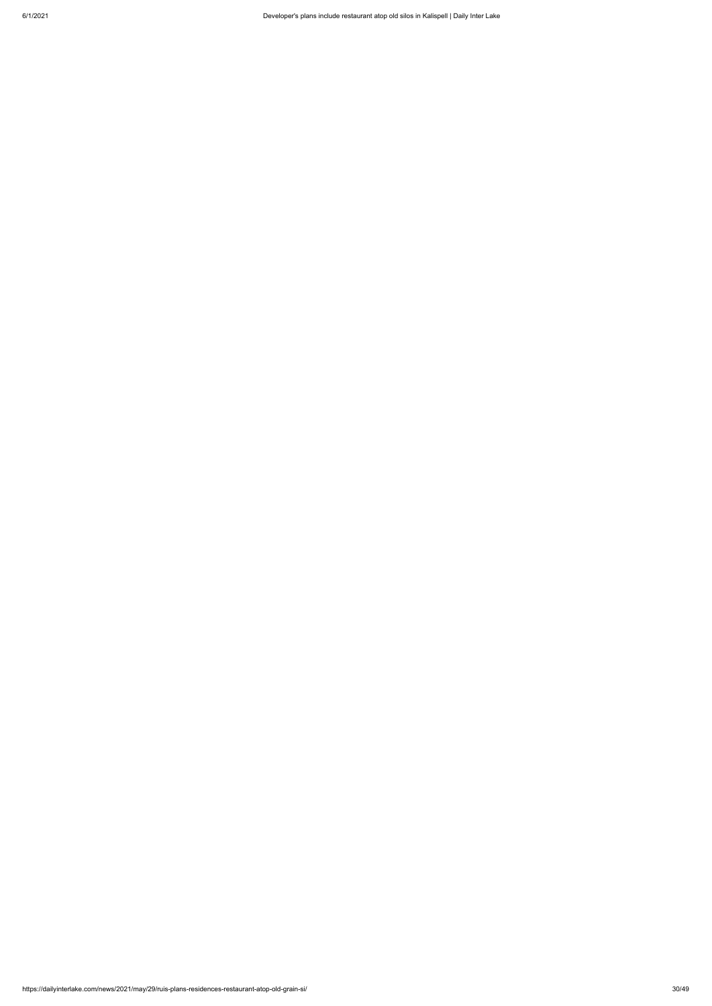https://dailyinterlake.com/news/2021/may/29/ruis-plans-residences-restaurant-atop-old-grain-si/ 30/49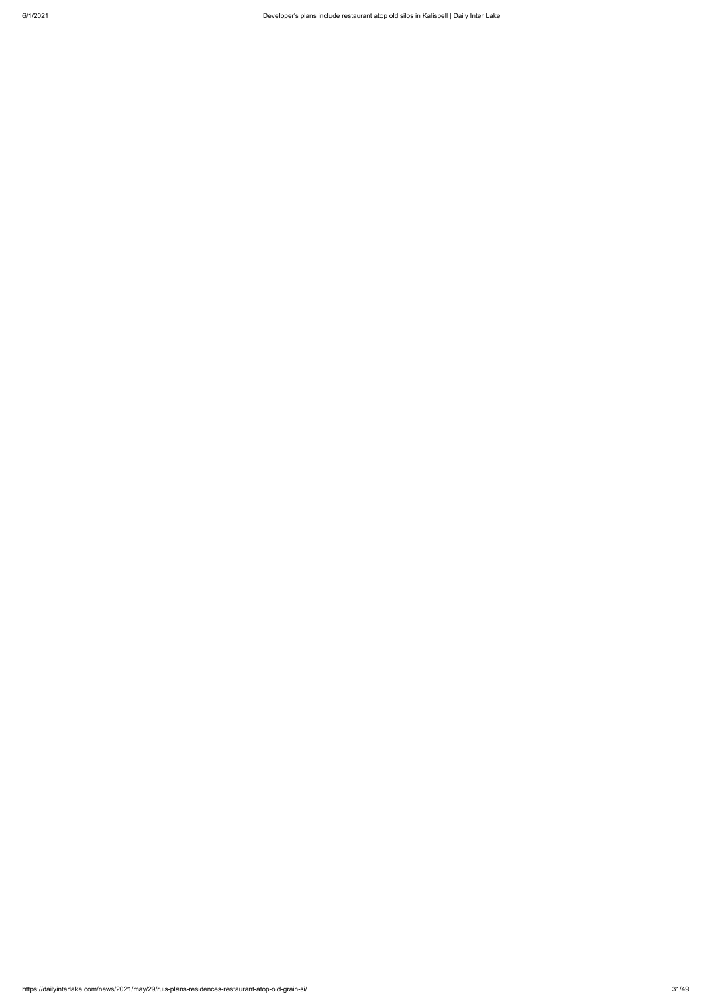https://dailyinterlake.com/news/2021/may/29/ruis-plans-residences-restaurant-atop-old-grain-si/ 31/49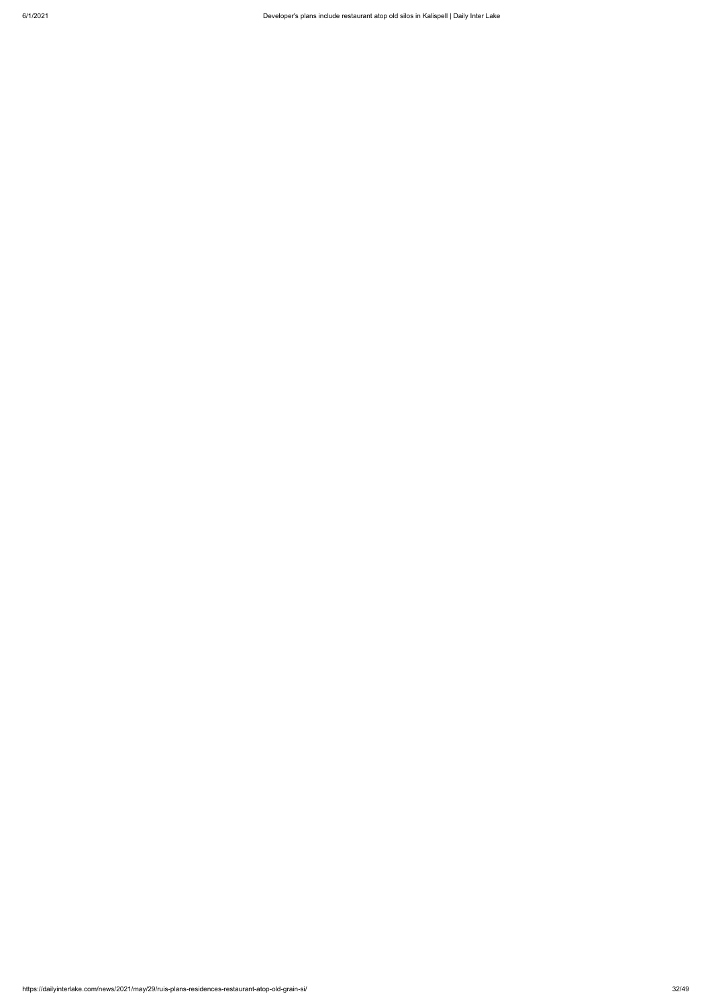https://dailyinterlake.com/news/2021/may/29/ruis-plans-residences-restaurant-atop-old-grain-si/ 32/49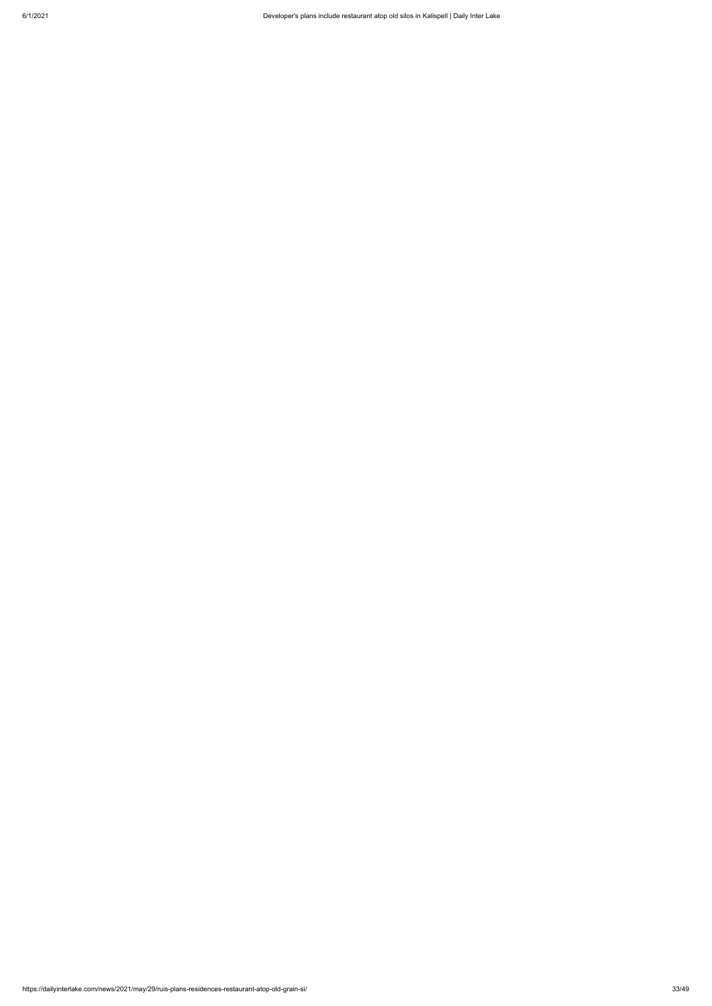https://dailyinterlake.com/news/2021/may/29/ruis-plans-residences-restaurant-atop-old-grain-si/ 33/49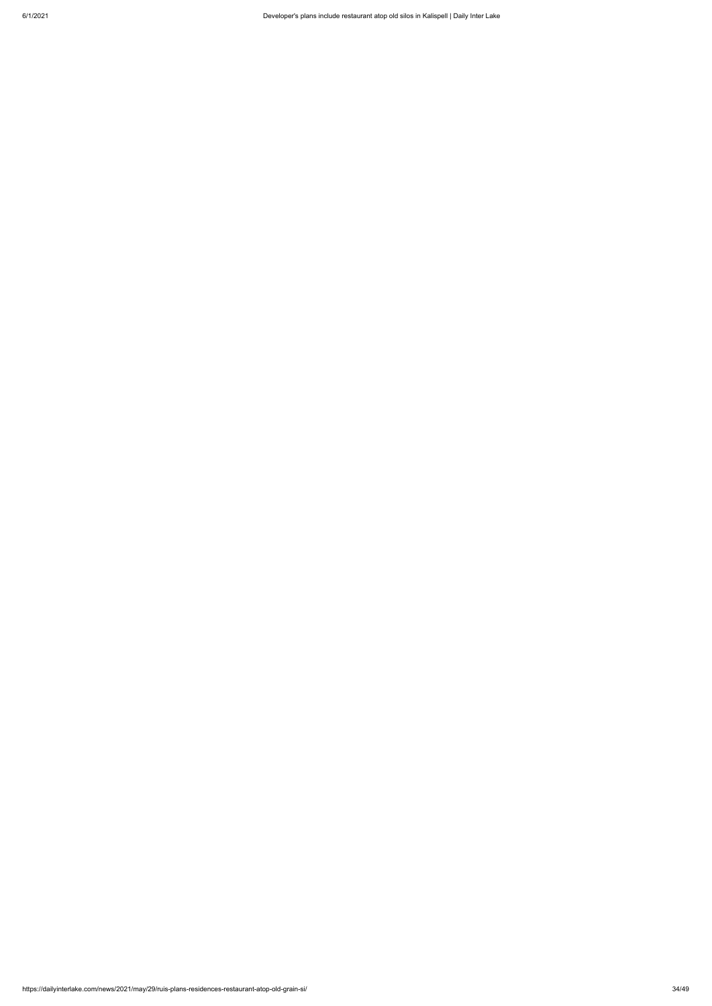https://dailyinterlake.com/news/2021/may/29/ruis-plans-residences-restaurant-atop-old-grain-si/ 34/49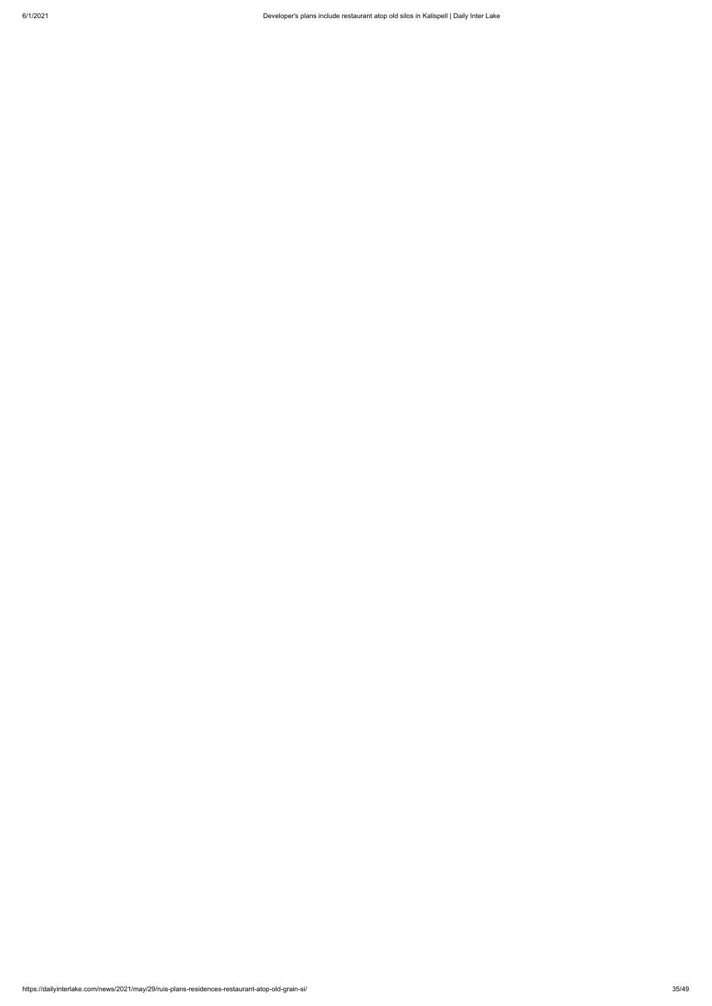https://dailyinterlake.com/news/2021/may/29/ruis-plans-residences-restaurant-atop-old-grain-si/ 35/49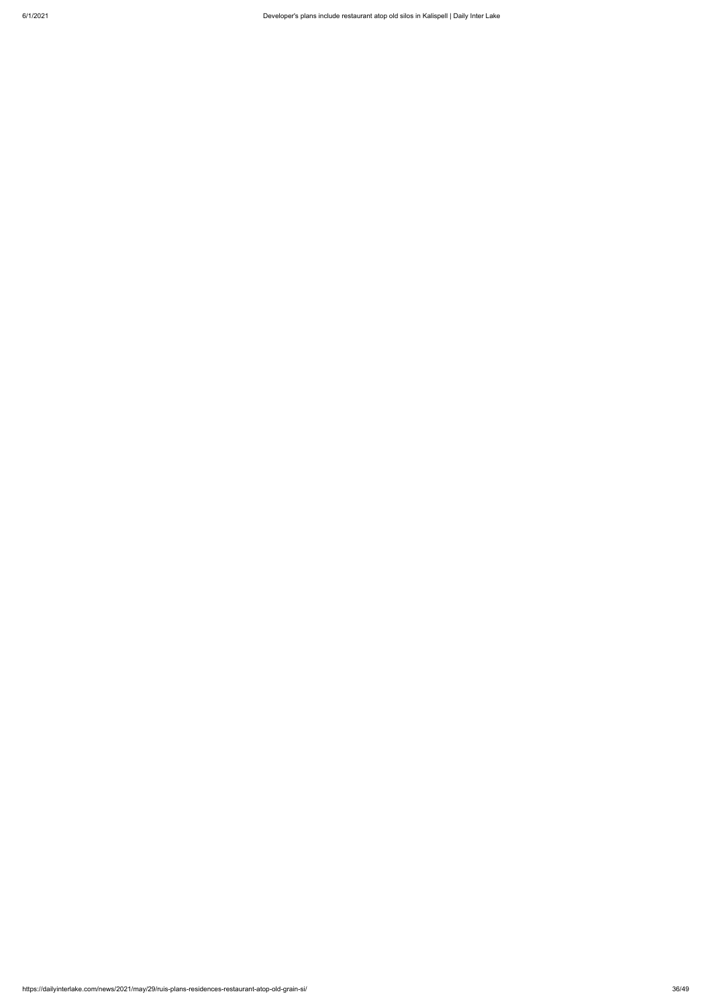https://dailyinterlake.com/news/2021/may/29/ruis-plans-residences-restaurant-atop-old-grain-si/ 36/49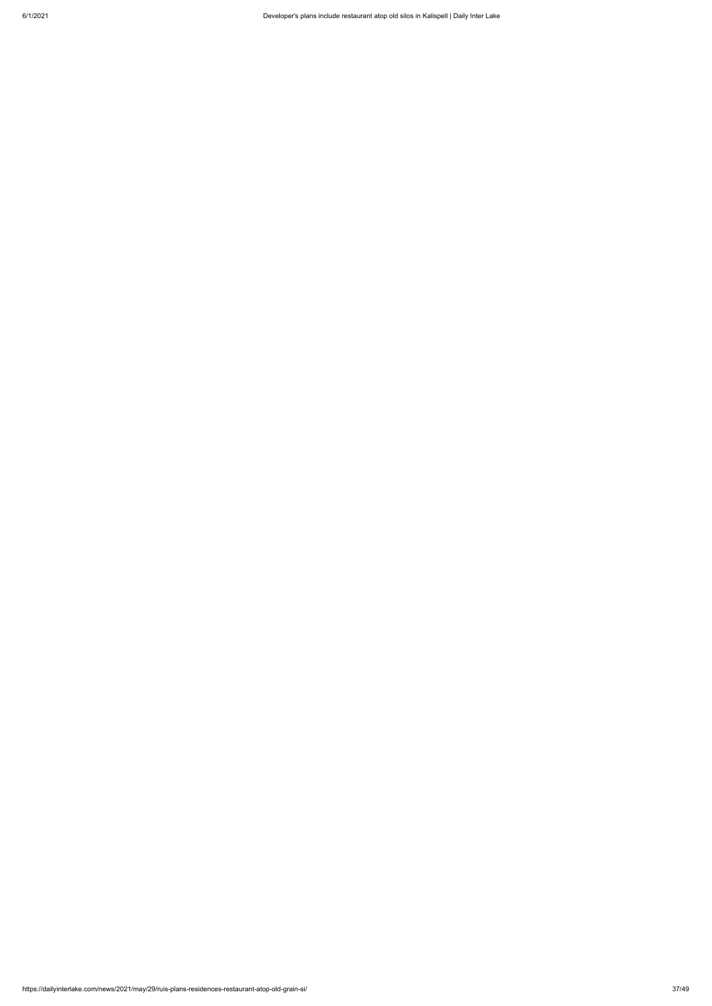https://dailyinterlake.com/news/2021/may/29/ruis-plans-residences-restaurant-atop-old-grain-si/ 37/49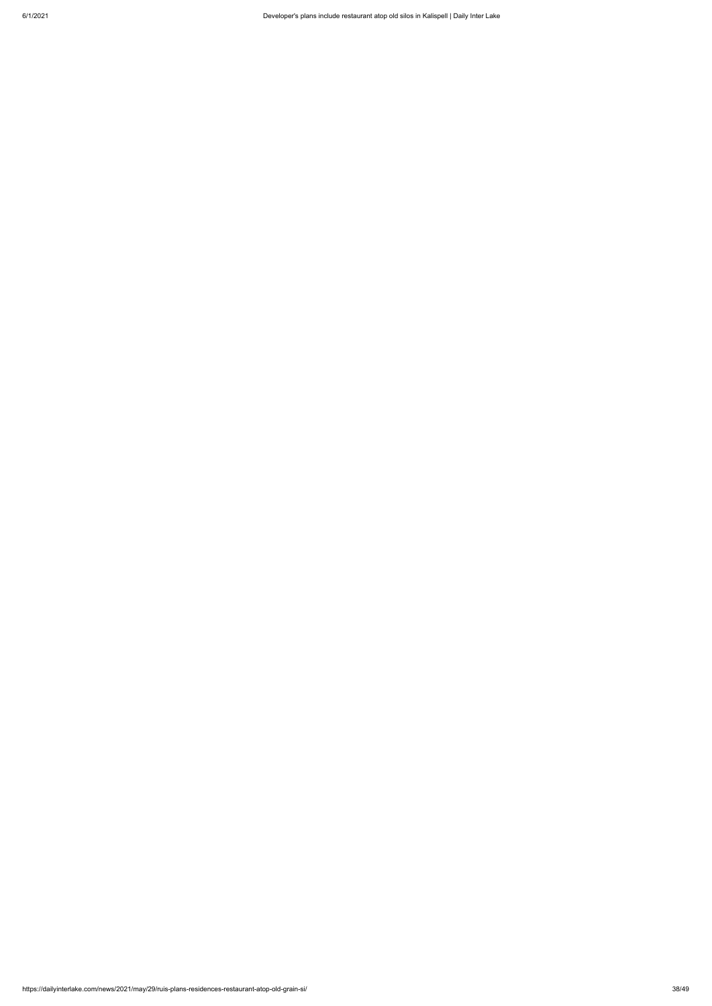https://dailyinterlake.com/news/2021/may/29/ruis-plans-residences-restaurant-atop-old-grain-si/ 38/49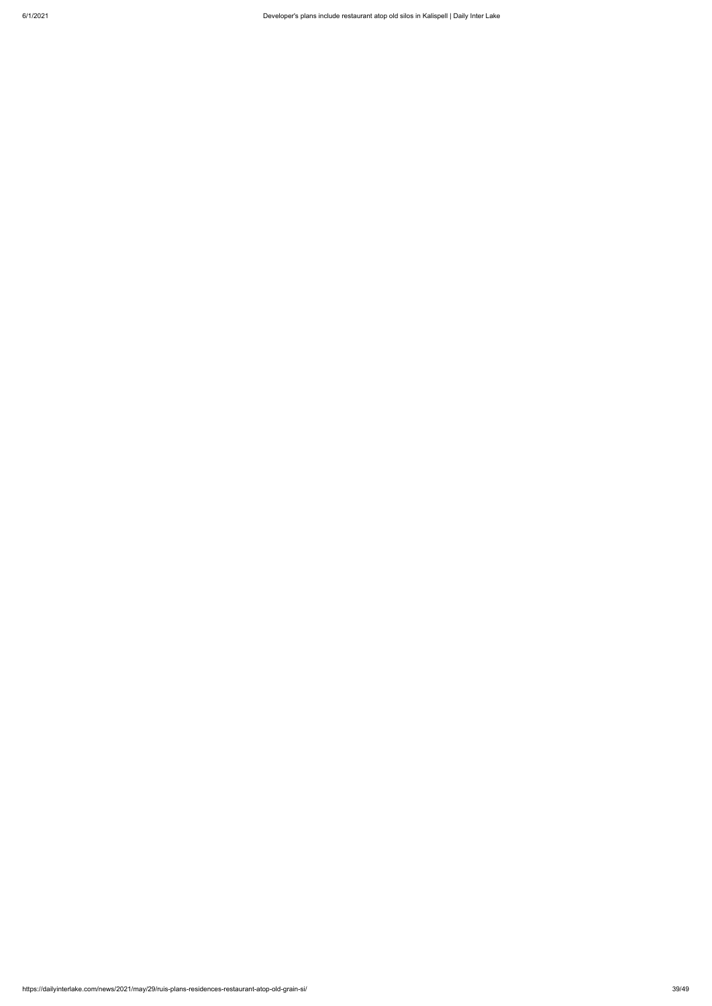https://dailyinterlake.com/news/2021/may/29/ruis-plans-residences-restaurant-atop-old-grain-si/ 39/49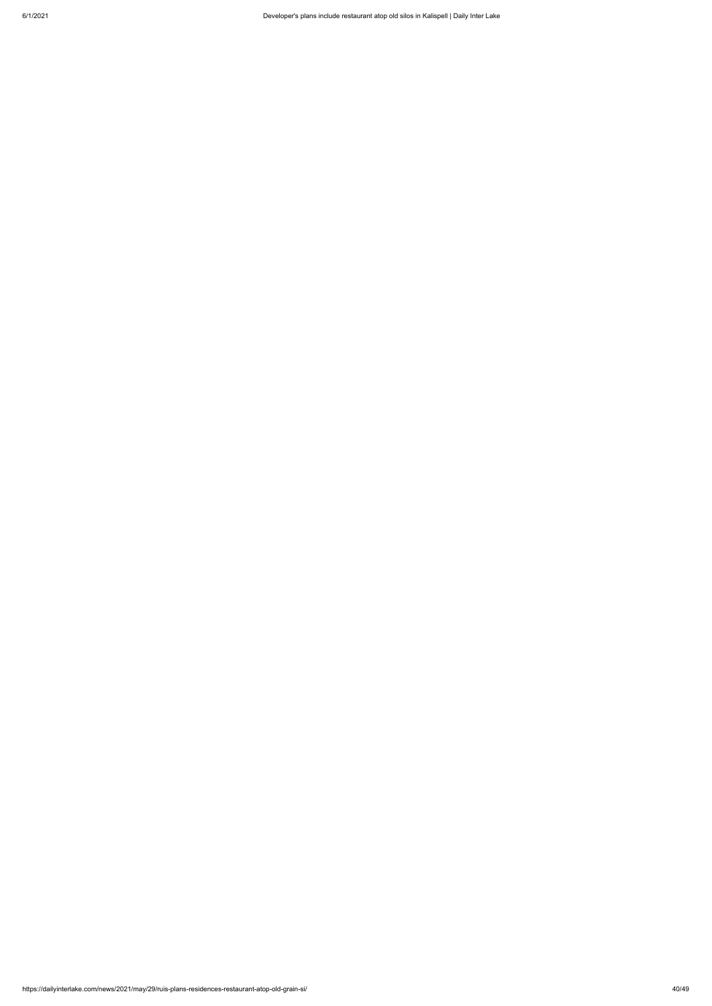https://dailyinterlake.com/news/2021/may/29/ruis-plans-residences-restaurant-atop-old-grain-si/ 40/49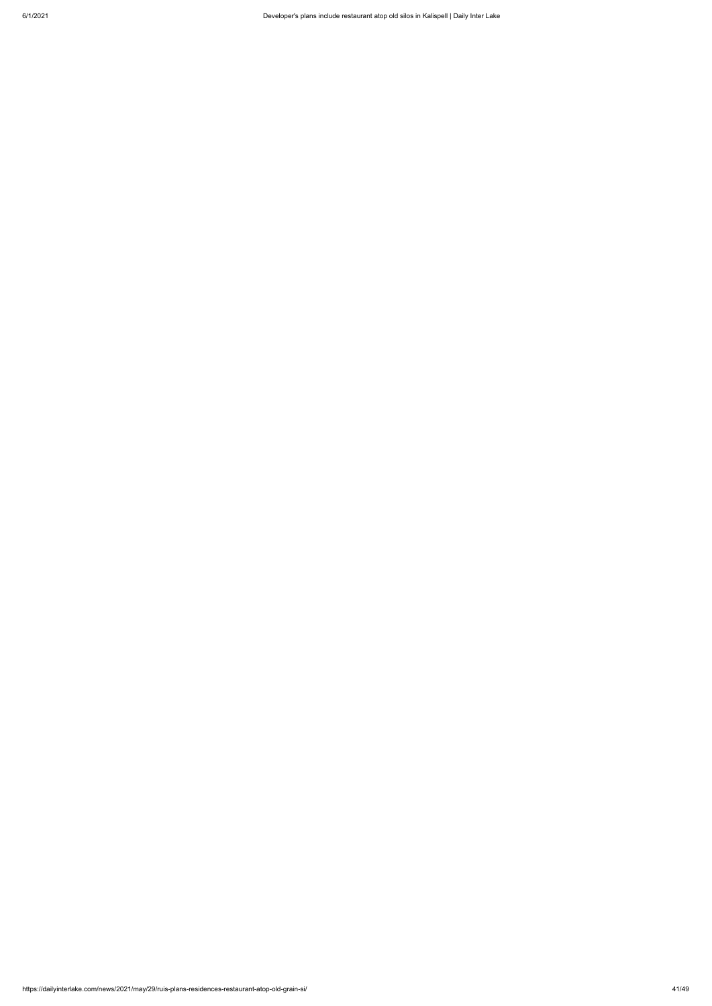https://dailyinterlake.com/news/2021/may/29/ruis-plans-residences-restaurant-atop-old-grain-si/ 41/49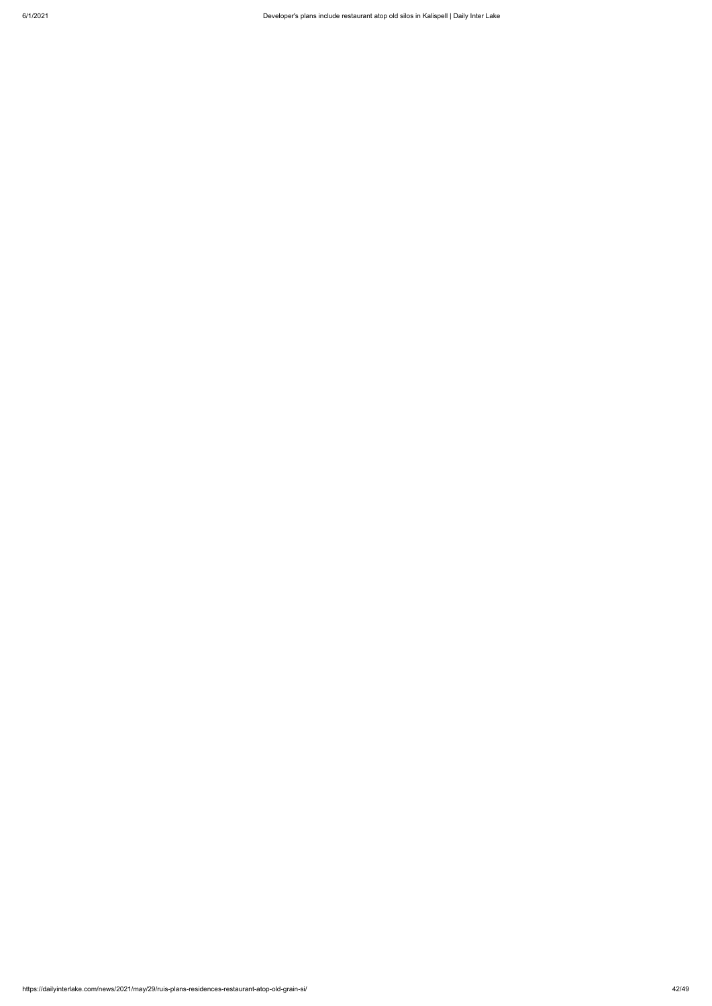https://dailyinterlake.com/news/2021/may/29/ruis-plans-residences-restaurant-atop-old-grain-si/ 42/49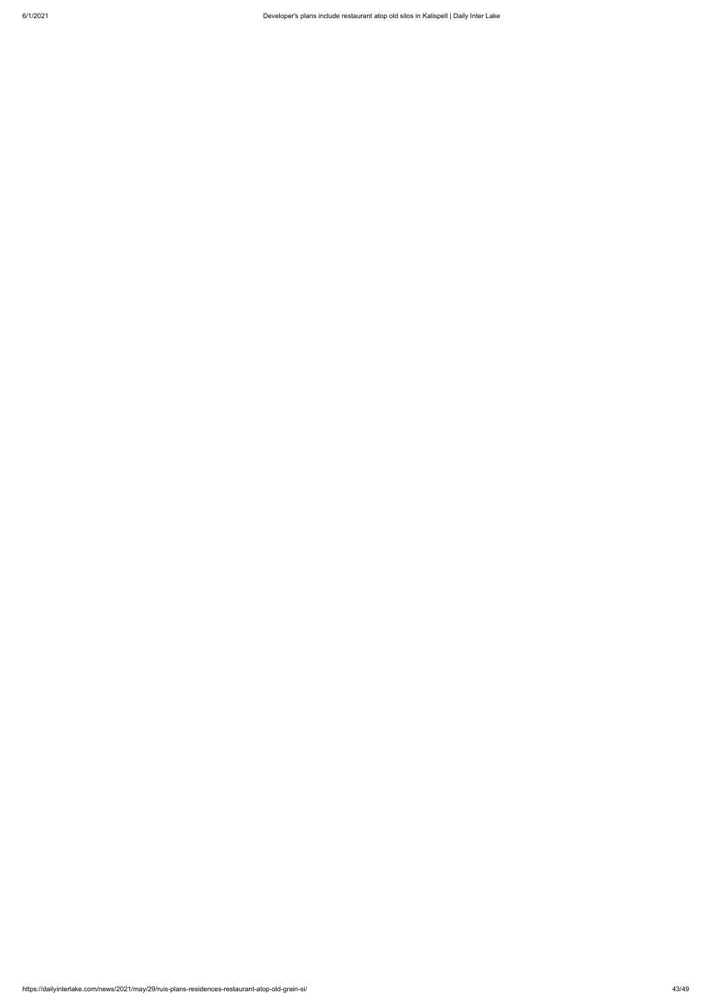https://dailyinterlake.com/news/2021/may/29/ruis-plans-residences-restaurant-atop-old-grain-si/ 43/49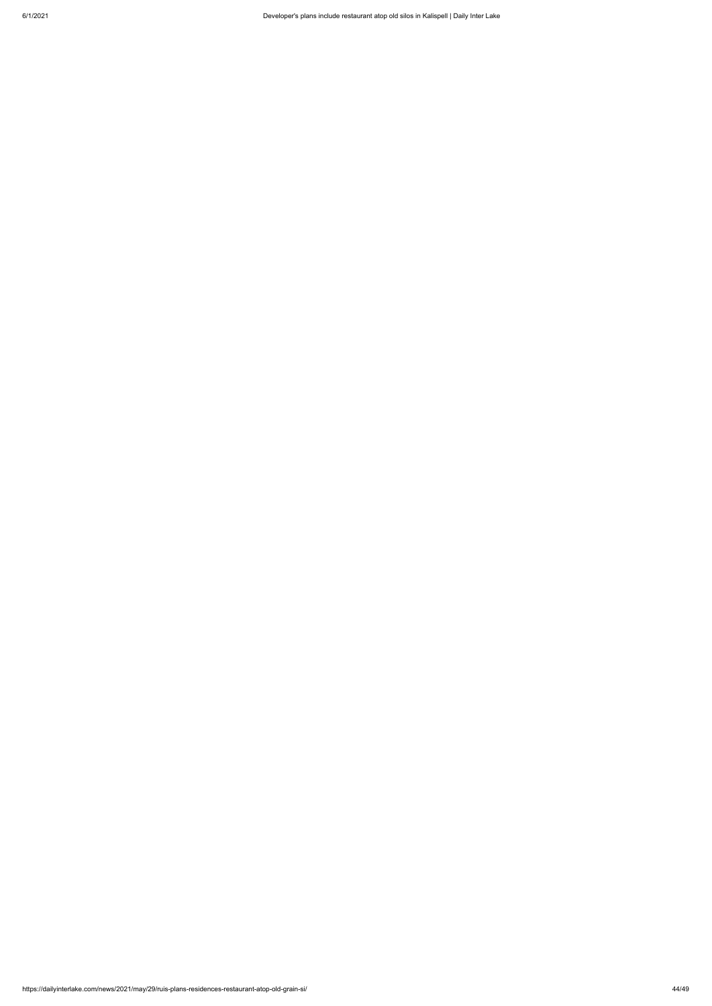https://dailyinterlake.com/news/2021/may/29/ruis-plans-residences-restaurant-atop-old-grain-si/ 44/49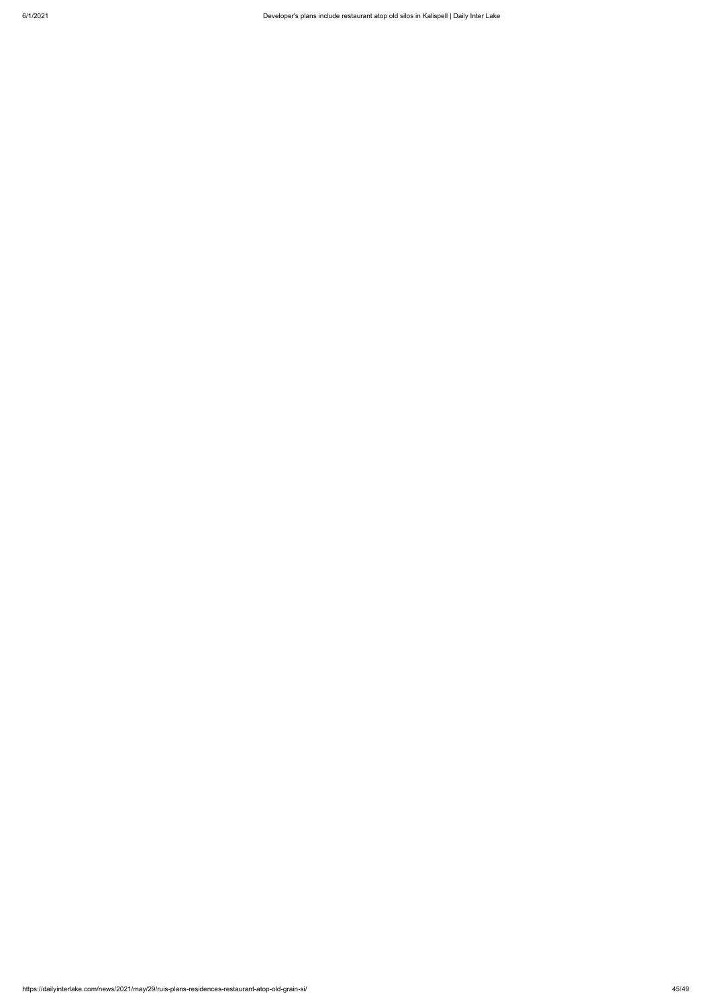https://dailyinterlake.com/news/2021/may/29/ruis-plans-residences-restaurant-atop-old-grain-si/ 45/49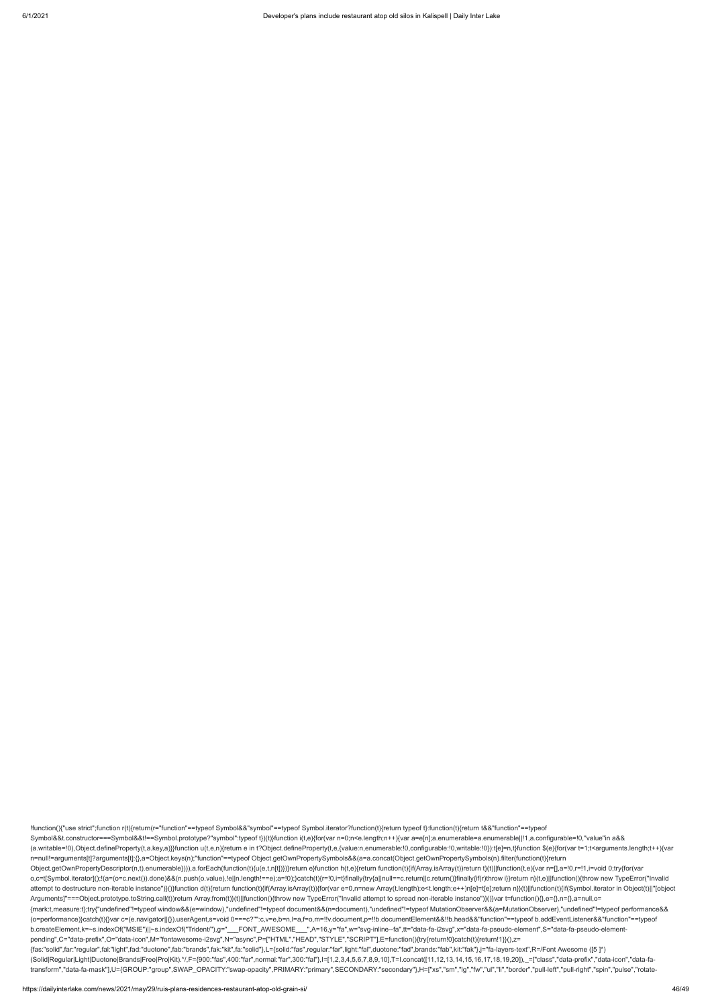!function(){"use strict";function r(t){return(r="function"==typeof Symbol&&"symbol"==typeof Symbol.iterator?function(t){return typeof t}:function(t){return t&&"function"==typeof

Symbol&&t.constructor===Symbol&&t!==Symbol.prototype?"symbol":typeof t})(t)}function i(t,e){for(var n=0;n<e.length;n++){var a=e[n];a.enumerable=a.enumerable||!1,a.configurable=!0,"value"in a&& (a.writable=!0),Object.defineProperty(t,a.key,a)}}function u(t,e,n){return e in t?Object.defineProperty(t,e,{value:n,enumerable:!0,configurable:!0,writable:!0}):t[e]=n,t}function \$(e){for(var t=1;t<arguments.length;t++){var n=null!=arguments[t]?arguments[t]:{},a=Object.keys(n);"function"==typeof Object.getOwnPropertySymbols&&(a=a.concat(Object.getOwnPropertySymbols(n).filter(function(t){return Object.getOwnPropertyDescriptor(n,t).enumerable}))),a.forEach(function(t){u(e,t,n[t])})}return e}function h(t,e){return function(t){if(Array.isArray(t))return t}(t)||function(t,e){var n=[],a=!0,r=!1,i=void 0;try{for(var o,c=t[Symbol.iterator]();!(a=(o=c.next()).done)&&(n.push(o.value),!e||n.length!==e);a=!0);}catch(t){r=!0,i=t}finally{try{a||null==c.return|c.return()}finally{if(r)throw i}}return n}(t,e)||function(){throw new TypeError("In attempt to destructure non-iterable instance")}()}function d(t){return function(t){if(Array.isArray(t)){for(var e=0,n=new Array(t.length);e<t.length;e++)n[e]=t[e];return n}}(t)|[function(t){if(Symbol.iterator in Object(t)| Arguments]"===Object.prototype.toString.call(t))return Array.from(t)}(t)||function(){throw new TypeError("Invalid attempt to spread non-iterable instance")}()}var t=function(){},e={},n={},a=null,o= {mark:t,measure:t};try{"undefined"!=typeof window&&(e=window),"undefined"!=typeof document&&(n=document),"undefined"!=typeof MutationObserver&&(a=MutationObserver),"undefined"!=typeof performance&& (o=performance)}catch(t){}var c=(e.navigator||{}).userAgent,s=void 0===c?"":c,v=e,b=n,l=a,f=o,m=!!v.document,p=!!b.documentElement&&!!b.head&&"function"==typeof b.addEventListener&&"function"==typeof b.createElement,k=~s.indexOf("MSIE")||~s.indexOf("Trident/"),g="\_\_\_FONT\_AWESOME\_\_\_",A=16,y="fa",w="svg-inline--fa",tt="data-fa-i2svg",x="data-fa-pseudo-element",S="data-fa-pseudo-elementpending",C="data-prefix",O="data-icon",M="fontawesome-i2svg",N="async",P=["HTML","HEAD","STYLE","SCRIPT"],E=function(){try{return!0}catch(t){return!1}}(),z= {fas:"solid",far:"regular",fal:"light",fad:"duotone",fab:"brands",fak:"kit",fa:"solid"},L={solid:"fas",regular:"far",light:"fal",duotone:"fad",brands:"fab",kit:"fak"},j="fa-layers-text",R=/Font Awesome ([5 ]\*) (Solid|Regular|Light|Duotone|Brands|Free|Pro|Kit).\*/,F={900:"fas",400:"far",normal:"far",300:"fal"},I=[1,2,3,4,5,6,7,8,9,10],T=I.concat([11,12,13,14,15,16,17,18,19,20]),\_=["class","data-prefix","data-icon","data-fatransform","data-fa-mask"],U={GROUP:"group",SWAP\_OPACITY:"swap-opacity",PRIMARY:"primary",SECONDARY:"secondary"},H=["xs","sm","lg","fw","ul","li","border","pull-left","pull-right","spin","pulse","rotate-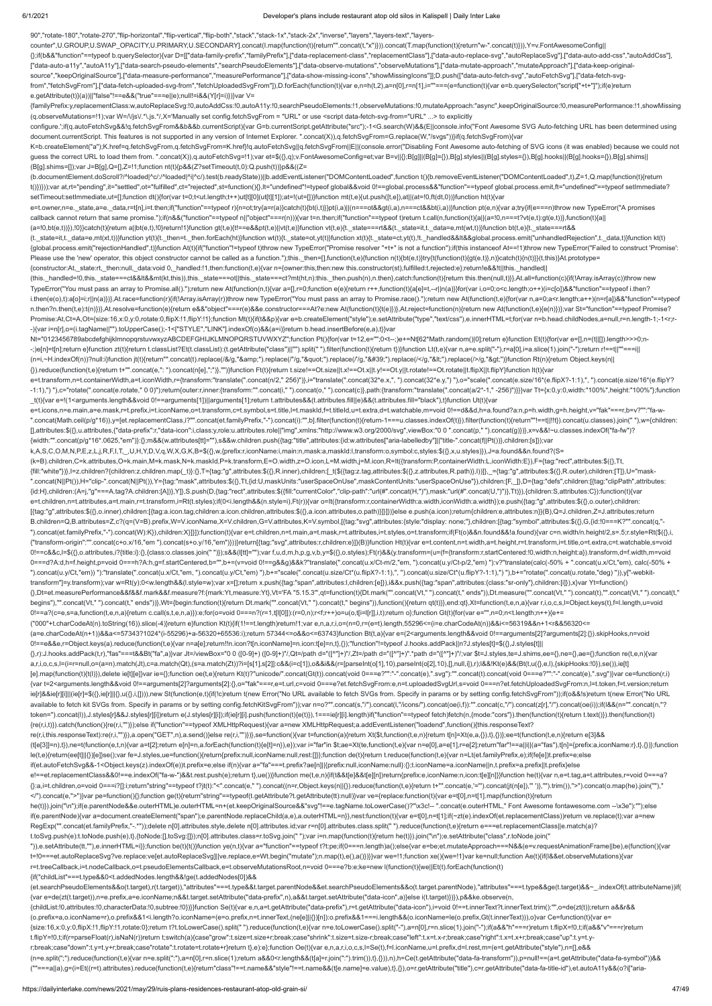https://dailyinterlake.com/news/2021/may/29/ruis-plans-residences-restaurant-atop-old-grain-si/ 47/49

90","rotate-180","rotate-270","flip-horizontal","flip-vertical","flip-both","stack","stack-1x","stack-2x","inverse","layers","layers-text","layers-

counter",U.GROUP,U.SWAP\_OPACITY,U.PRIMARY,U.SECONDARY].concat(I.map(function(t){return"".concat(t,"x")})).concat(T.map(function(t){return"w-".concat(t)})),Y=v.FontAwesomeConfig|| {};if(b&&"function"==typeof b.querySelector){var D=[["data-family-prefix","familyPrefix"],["data-replacement-class","replacementClass"],["data-auto-replace-svg","autoReplaceSvg"],["data-auto-add-css","autoAddCss"], ["data-auto-a11y","autoA11y"],["data-search-pseudo-elements","searchPseudoElements"],["data-observe-mutations","observeMutations"],["data-mutate-approach","mutateApproach"],["data-keep-originalsource","keepOriginalSource"],["data-measure-performance","measurePerformance"],["data-show-missing-icons","showMissingIcons"]];D.push(["data-auto-fetch-svg","autoFetchSvg"],["data-fetch-svgfrom","fetchSvgFrom"],["data-fetch-uploaded-svg-from","fetchUploadedSvgFrom"]),D.forEach(function(t){var e,n=h(t,2),a=n[0],r=n[1],i=""===(e=function(t){var e=b.querySelector("script["+t+"]");if(e)return e.getAttribute(t)}(a))||"false"!==e&&("true"===e||e);null!=i&&(Y[r]=i)})}var V=

K=b.createElement("a");K.href=q.fetchSvgFrom,q.fetchSvgFrom=K.href}!q.autoFetchSvg||q.fetchSvgFrom||E||(console.error("Disabling Font Awesome auto-fetching of SVG icons (it was enabled) because we could not guess the correct URL to load them from. ".concat(X)),q.autoFetchSvg=!1);var et=\$({},q);v.FontAwesomeConfig=et;var B=v||{};B[g]||(B[g]={}),B[g].styles||(B[g].styles={}),B[g].hooks||(B[g].hooks={}),B[g].shims|| (B[g].shims=[]);var J=B[g],Q=[],Z=!1;function nt(t){p&&(Z?setTimeout(t,0):Q.push(t))}p&&((Z=

{familyPrefix:y,replacementClass:w,autoReplaceSvg:!0,autoAddCss:!0,autoA11y:!0,searchPseudoElements:!1,observeMutations:!0,mutateApproach:"async",keepOriginalSource:!0,measurePerformance:!1,showMissing (q.observeMutations=!1);var W=/\/js\/.\*\.js.\*/,X='Manually set config.fetchSvgFrom = "URL" or use <script data-fetch-svg-from="URL" ...> to explicitly

e=t.owner,n=e.\_state,a=e.\_data,r=t[n],i=t.then;if("function"==typeof r){n=ot;try{a=r(a)}catch(t){bt(i,t)}}pt(i,a)||(n===ot&&gt(i,a),n===ct&&bt(i,a))}function pt(e,n){var a;try{if(e===n)throw new TypeError("A promises callback cannot return that same promise.");if(n&&("function"==typeof n||"object"===r(n))){var t=n.then;if("function"==typeof t)return t.call(n,function(t){a||(a=!0,n===t?vt(e,t):gt(e,t))},function(t){a||

configure.';if(q.autoFetchSvg&&!q.fetchSvgFrom&&b&&b.currentScript){var G=b.currentScript.getAttribute("src");-1<G.search(W)&&(E||console.info("Font Awesome SVG Auto-fetching URL has been determined using document.currentScript. This features is not supported in any version of Internet Explorer. ".concat(X)),q.fetchSvgFrom=G.replace(W,"/svgs"))}if(q.fetchSvgFrom){var

(t.\_state=it,t.\_data=e,mt(xt,t))}function yt(t){t.\_then=t.\_then.forEach(ht)}function wt(t){t.\_state=ot,yt(t)}function xt(t){t.\_state=ct,yt(t),lt.\_handled&&It&&global.process.emit("unhandledRejection",t.\_data,t)}function kt {global.process.emit("rejectionHandled",t)}function At(t){if("function"!=typeof t)throw new TypeError("Promise resolver "+t+" is not a function");if(this instanceof At==!1)throw new TypeError("Failed to construct 'Promise': Please use the 'new' operator, this object constructor cannot be called as a function.");this.\_then=[],function(t,e){function n(t){bt(e,t)}try{t(function(t){gt(e,t)},n)}catch(t){n(t)}}(t,this)}At.prototype= {constructor:At,\_state:rt,\_then:null,\_data:void 0,\_handled:!1,then:function(t,e){var n={owner:this,then:new this.constructor(st),fulfilled:t,rejected:e};return!e&&!t||this.\_handled||

(b.documentElement.doScroll?/^loaded|^c/:/^loaded|^i|^c/).test(b.readyState))||b.addEventListener("DOMContentLoaded",function t(){b.removeEventListener("DOMContentLoaded",t),Z=1,Q.map(function(t){return t()})}));var at,rt="pending",it="settled",ot="fulfilled",ct="rejected",st=function(){},lt="undefined"!=typeof global&&void 0!==global.process&&"function"==typeof global.process.emit,ft="undefined"==typeof setImmediate? setTimeout:setImmediate,ut=[];function dt(){for(var t=0;t<ut.length;t++)ut[t][0](ut[t][1]);at=!(ut=[])}function mt(t,e){ut.push([t,e]),at||(at=!0,ft(dt,0))}function ht(t){var

e=t.transform,n=t.containerWidth,a=t.iconWidth,r={transform:"translate(".concat(n/2," 256)")},i="translate(".concat(32\*e.x,", ").concat(32\*e.y,") "),o="scale(".concat(e.size/16\*(e.flipX?-1:1),", ").concat(e.size/16\*(e.flip -1:1),") "),c="rotate(".concat(e.rotate," 0 0)");return{outer:r,inner:{transform:"".concat(i," ").concat(o," ").concat(c)},path:{transform:"translate(".concat(a/2\*-1," -256)"}}}}var Tt={x:0,y:0,width:"100%",height:"100%"}; \_t(t){var e=!(1<arguments.length&&void 0!==arguments[1])||arguments[1];return t.attributes&&(t.attributes.fill||e)&&(t.attributes.fill="black"),t}function Ut(t){var

(a=!0,bt(e,t))}),!0}}catch(t){return a||bt(e,t),!0}return!1}function gt(t,e){t!==e&&pt(t,e)||vt(t,e)}function vt(t,e){t.\_state===rt&&(t.\_state=it,t.\_data=e,mt(wt,t))}function bt(t,e){t.\_state===rt&&

(this.\_handled=!0,this.\_state===ct&&lt&&mt(kt,this)),this.\_state===ot||this.\_state===ct?mt(ht,n):this.\_then.push(n),n.then},catch:function(t){return this.then(null,t)}},At.all=function(c){if(!Array.isArray(c))throw new TypeError("You must pass an array to Promise.all().");return new At(function(n,t){var a=[],r=0;function e(e){return r++,function(t){a[e]=t,--r||n(a)}}for(var i,o=0;o<c.length;o++)(i=c[o])&&"function"==typeof i.then? i.then(e(o),t):a[o]=i;r||n(a)})},At.race=function(r){if(!Array.isArray(r))throw new TypeError("You must pass an array to Promise.race().");return new At(function(t,e){for(var n,a=0;a<r.length;a++)(n=r[a])&&"function"==type n.then?n.then(t,e):t(n)})},At.resolve=function(e){return e&&"object"===r(e)&&e.constructor===At?e:new At(function(t){t(e)})},At.reject=function(n){return new At(function(t,e){e(n)})};var St="function"==typeof Promise? Promise:At,Ct=A,Ot={size:16,x:0,y:0,rotate:0,flipX:!1,flipY:!1};function Mt(t){if(t&&p){var e=b.createElement("style");e.setAttribute("type","text/css"),e.innerHTML=t;for(var n=b.head.childNodes,a=null,r=n.length-1;-1<r;r- -){var i=n[r],o=(i.tagName||"").toUpperCase();-1<["STYLE","LINK"].indexOf(o)&&(a=i)}return b.head.insertBefore(e,a),t}}var

Nt="0123456789abcdefghijklmnopqrstuvwxyzABCDEFGHIJKLMNOPQRSTUVWXYZ";function Pt(){for(var t=12,e="";0<t--;)e+=Nt[62\*Math.random()|0];return e}function Et(t){for(var e=[],n=(t||[]).length>>>0;n- -;)e[n]=t[n];return e}function zt(t){return t.classList?Et(t.classList):(t.getAttribute("class")||"").split(" ").filter(function(t){return t}}function Lt(t,e){var n,a=e.split("-"),r=a[0],i=a.slice(1).join("-");return r!==t (n=i,~H.indexOf(n))?null:i}function jt(t){return"".concat(t).replace(/&/g,"&").replace(/"/g,""").replace(//g,"'").replace(/</g,"&lt;").replace(/>/g,"&dt;"}}function Rt(n){return Object.keys(n|| {}).reduce(function(t,e){return t+"".concat(e,": ").concat(n[e],";")},"")}function Ft(t){return t.size!==Ot.size||t.x!==Ot.x||t.y!==Ot.y||t.rotate!==Ot.rotate||t.flipX||t.flipY}function It(t){var

e=t.icons,n=e.main,a=e.mask,r=t.prefix,i=t.iconName,o=t.transform,c=t.symbol,s=t.title,l=t.maskId,f=t.titleId,u=t.extra,d=t.watchable,m=void 0!==d&&d,h=a.found?a:n,p=h.width,g=h.height,v="fak"===r,b=v?"":"fa-w- ".concat(Math.ceil(p/g\*16)),y=[et.replacementClass,i?"".concat(et.familyPrefix,"-").concat(i):"",b].filter(function(t){return-1===u.classes.indexOf(t)}).filter(function(t){return"!==t|!!!!}).concat(u.classes).join(""),w={c [],attributes:\$({},u.attributes,{"data-prefix":r,"data-icon":i,class:y,role:u.attributes.role||"img",xmlns:"http://www.w3.org/2000/svg",viewBox:"0 0 ".concat(p," ").concat(g)})},x=v&&!~u.classes.indexOf("fa-fw")? {width:"".concat(p/g\*16\*.0625,"em")}:{};m&&(w.attributes[tt]=""),s&&w.children.push({tag:"title",attributes:{id:w.attributes["aria-labelledby"]||"title-".concat(f||Pt())},children:[s]});var

k,A,S,C,O,M,N,P,E,z,L,j,R,F,I,T,\_,U,H,Y,D,V,q,W,X,G,K,B=\$({},w,{prefix:r,iconName:i,main:n,mask:a,maskId:l,transform:o,symbol:c,styles:\$({},x,u.styles)}),J=a.found&&n.found?(S=

if(et.autoFetchSvg&&-1<Object.keys(z).indexOf(e))t.prefix=e;else if(n){var a="fa"===t.prefix?ae[n]||{prefix:null,iconName:null}:{};t.iconName=a.iconName||n,t.prefix=a.prefix||t.prefix}else e!==et.replacementClass&&0!==e.indexOf("fa-w-")&&t.rest.push(e);return t},ue())}function me(t,e,n){if(t&&t[e]&&t[e][n])return{prefix:e,iconName:n,icon:t[e][n]}}function he(t){var n,e=t.tag,a=t.attributes,r=void 0===a? {}:a,i=t.children,o=void 0===i?[]:i;return"string"==typeof t?jt(t):"<".concat(e," ").concat((n=r,Object.keys(n||{}).reduce(function(t,e){return t+"".concat(e,'=").concat(jt(n[e]),"")},"").trim()),">").concat(o.map(he).join </").concat(e,">")}var pe=function(){};function ge(t){return"string"==typeof(t.getAttribute?t.getAttribute(tt):null)}var ve={replace:function(t){var e=t[0],n=t[1].map(function(t){return he(t)}).join("\n");if(e.parentNode&&e.outerHTML)e.outerHTML=n+(et.keepOriginalSource&&"svg"!==e.tagName.toLowerCase()?"\x3c!-- ".concat(e.outerHTML," Font Awesome fontawesome.com --\x3e"):"");else if(e.parentNode){var a=document.createElement("span");e.parentNode.replaceChild(a,e),a.outerHTML=n}},nest:function(t){var e=t[0],n=t[1];if(~zt(e).indexOf(et.replacementClass))return ve.replace(t);var a=new RegExp("".concat(et.familyPrefix,"-.\*"));delete n[0].attributes.style,delete n[0].attributes.id;var r=n[0].attributes.class.split(" ").reduce(function(t,e){return e===et.replacementClass||e.match(a)? t.toSvg.push(e):t.toNode.push(e),t},{toNode:[],toSvg:[]});n[0].attributes.class=r.toSvg.join(" ");var i=n.map(function(t){return he(t)}).join("\n");e.setAttribute("class",r.toNode.join(" ")),e.setAttribute(tt,""),e.innerHTML=i}};function be(t){t()}function ye(n,t){var a="function"==typeof t?t:pe;if(0===n.length)a();else{var e=be;et.mutateApproach===N&&(e=v.requestAnimationFrame||be),e(function(){var t=!0===et.autoReplaceSvg?ve.replace:ve[et.autoReplaceSvg]||ve.replace,e=Wt.begin("mutate");n.map(t),e(),a()})}}var we=!1;function xe(){we=!1}var ke=null;function Ae(t){if(l&&et.observeMutations){var r=t.treeCallback,i=t.nodeCallback,o=t.pseudoElementsCallback,e=t.observeMutationsRoot,n=void 0===e?b:e;ke=new l(function(t){we||Et(t).forEach(function(t)

(k=B).children,C=k.attributes,O=k.main,M=k.mask,N=k.maskId,P=k.transform,E=O.width,z=O.icon,L=M.width,j=M.icon,R=It({transform:P,containerWidth:L,iconWidth:E}),F={tag:"rect",attributes:\$({},Tt, {fill:"white"})},l=z.children?{children:z.children.map(\_t)}:{},T={tag:"g",attributes:\$({},R.inner),children:[\_t(\$({tag:z.tag,attributes:\$({},2.attributes,R.path)},l))]},\_={tag:"g",attributes:\$({},R.outer),children:[T]},U=" ".concat(N||Pt()),H="clip-".concat(N||Pt()),Y={tag:"mask",attributes:\$({},Tt,{id:U,maskUnits:"userSpaceOnUse",maskContentUnits:"userSpaceOnUse"}),children:[F,\_]},D={tag:"defs",children:[{tag:"clipPath",attributes:\$({},Tt,{ {id:H},children:(A=j,"g"===A.tag?A.children:[A])},Y]},S.push(D,{tag:"rect",attributes:\$({fill:"currentColor","clip-path":"url(#".concat(H,")"),mask:"url(#".concat(U,")")},Tt)}),{children:S,attributes:C}):function(t){var e=t.children,n=t.attributes,a=t.main,r=t.transform,i=Rt(t.styles);if(0<i.length&&(n.style=i),Ft(r)){var o=It({transform:r,containerWidth:a.width,iconWidth:a.width});e.push({tag:"g",attributes:\$({},o.outer),children: [{tag:"g",attributes:\$({},o.inner),children:[{tag:a.icon.tag,children:a.icon.children,attributes:\$({},a.icon.attributes,o.path)}]}]})}else e.push(a.icon);return{children:e,attributes:n}}(B),Q=J.children,Z=J.attributes;return B.children=Q,B.attributes=Z,c?(q=(V=B).prefix,W=V.iconName,X=V.children,G=V.attributes,K=V.symbol,[{tag:"svg",attributes:{style:"display: none;"},children:[{tag:"symbol",attributes:\$({},G,{id:!0===K?"".concat(q,"- ").concat(et.familyPrefix,"-").concat(W):K}),children:X}]}]):function(t){var e=t.children,n=t.main,a=t.mask,r=t.attributes,i=t.styles,o=t.transform;if(Ft(o)&&n.found&&!a.found){var c=n.width/n.height/2,s=.5;r.style=Rt(\${{} {"transform-origin":"".concat(c+o.x/16,"em ").concat(s+o.y/16,"em")}))}return[{tag:"svg",attributes:r,children:e}]}(B)}function Ht(t){var e=t.content,n=t.width,a=t.height,r=t.transform,i=t.title,o=t.extra,c=t.watchable,s=v 0!==c&&c,l=\$({},o.attributes,i?{title:i}:{},{class:o.classes.join(" ")});s&&(l[tt]="");var f,u,d,m,h,p,g,v,b,y=\$({},o.styles);Ft(r)&&(y.transform=(u=(f={transform:r,startCentered:!0,width:n,height:a}).transform,d=f.width,m 0===d?A:d,h=f.height,p=void 0===h?A:h,g=f.startCentered,b="",b+=(v=void 0!==g&&g)&&k?"translate(".concat(u.x/Ct-m/2,"em, ").concat(u.y/Ct-p/2,"em) "):v?"translate(calc(-50% + ".concat(u.x/Ct,"em), calc(-50% + ").concat(u.y/Ct,"em)) "):"translate(".concat(u.x/Ct,"em, ").concat(u.y/Ct,"em) "),b+="scale(".concat(u.size/Ct\*(u.flipX?-1:1),", ").concat(u.size/Ct\*(u.flipY?-1:1),") "),b+="rotate(".concat(u.rotate,"deg) ")),y["-webkittransform"]=y.transform);var w=Rt(y);0<w.length&&(l.style=w);var x=[];return x.push({tag:"span",attributes:l,children:[e]}),i&&x.push({tag:"span",attributes:{class:"sr-only"},children:[i]}),x}var Yt=function() {},Dt=et.measurePerformance&&f&&f.mark&&f.measure?f:{mark:Yt,measure:Yt},Vt='FA "5.15.3"',qt=function(t){Dt.mark("".concat(Vt," ").concat(t," ends")),Dt.measure("".concat(Vt," ").concat(t),"".concat(Vt," ").concat(t," begins"),"".concat(Vt," ").concat(t," ends"))},Wt={begin:function(t){return Dt.mark("".concat(Vt," ").concat(t," begins")),function(){return qt(t)}},end:qt},Xt=function(t,e,n,a){var r,i,o,c,s,l=Object.keys(t),f=l.length,u= 0!==a?(c=e,s=a,function(t,e,n,a){return c.call(s,t,e,n,a)}):e;for(o=void 0===n?(r=1,t[l[0]]):(r=0,n);r<f;r++)o=u(o,t[i=l[r]],i,t);return o};function Gt(t){for(var e="",n=0;n<t.length;n++){e+= ("000"+t.charCodeAt(n).toString(16)).slice(-4)}return e}function Kt(t){if(1!==t.length)return!1;var e,n,a,r,i,o=(n=0,r=(e=t).length,55296<=(i=e.charCodeAt(n))&&i<=56319&&n+1<r&&56320<= (a=e.charCodeAt(n+1))&&a<=57343?1024\*(i-55296)+a-56320+65536:i);return 57344<=o&&o<=63743}function Bt(t,a){var e=(2<arguments.length&&void 0!==arguments[2]?arguments[2]:{}).skipHooks,n=void 0!==e&&e,r=Object.keys(a).reduce(function(t,e){var n=a[e];return!!n.icon?t[n.iconName]=n.icon:t[e]=n,t},{});"function"!=typeof J.hooks.addPack||n?J.styles[t]=\$({},J.styles[t]|| {},r):J.hooks.addPack(t,r),"fas"===t&&Bt("fa",a)}var Jt=/viewBox="0 0 ([0-9]+) ([0-9]+)"/,Qt=/path d="([^"]+)"/,Zt=/path d="([^"]+)".\*path d="([^"]+)"/;var \$t=J.styles,te=J.shims,ee={},ne={},ae={};function re(t,e,n){var a,r,i,o,c,s,l=(i=r=null,o=(a=n).match(Jt),c=a.match(Qt),(s=a.match(Zt))?i=[s[1],s[2]]:c&&(i=c[1]),o&&i&&(r=[parseInt(o[1],10),parseInt(o[2],10),[],null,i]),r);l&&!Kt(e)&&(Bt(t,u({},e,l),{skipHooks:!0}),se()),ie[t] [e].map(function(t){t(l)}),delete ie[t][e]}var ie={};function oe(t,e){return Kt(t)?"unicode/".concat(Gt(t)).concat(void 0===e?"":"-".concat(e),".svg"):"".concat(t).concat(t).concat(oid 0===e?"":"-".concat(oid 0===e?"":"-". {var t=2<arguments.length&&void 0!==arguments[2]?arguments[2]:{},o="fak"===r,e=t.url,c=void 0===e?et.fetchSvgFrom:e,n=t.uploadedSvgUrl,s=void 0===n?et.fetchUploadedSvgFrom:n,l=t.token,f=t.version;return ie[r]&&ie[r][i]]|(ie[r]=\$({},ie[r]||{},u({},i,[]))),new St(function(e,t){if(!c)return t(new Error("No URL available to fetch SVGs from. Specify in params or by setting config.fetchSvgFrom"));if(o&&!s)return t(new Error("No available to fetch kit SVGs from. Specify in params or by setting config.fetchKitSvgFrom"));var n=o?"".concat(s,"/").concat(l,"/icons/").concat(oe(i,f)):"".concat(c,"/").concat(z[r],"/").concat(oe(i));if(l&&(n="".concat(n, token=").concat(l)),J.styles[r]&&J.styles[r][i])return e(J.styles[r][i]);if(ie[r][i].push(function(t){e(t)}),1===ie[r][i].length)if("function"==typeof fetch)fetch(n,{mode:"cors"}).then(function(t){return t.text()}).then(fu {re(r,i,t)}).catch(function(){re(r,i,"")});else if("function"==typeof XMLHttpRequest){var a=new XMLHttpRequest;a.addEventListener("loadend",function(){this.responseText?

re(r,i,this.responseText):re(r,i,"")}),a.open("GET",n),a.send()}else re(r,i,"")})},se=function(){var t=function(a){return Xt(\$t,function(t,e,n){return t[n]=Xt(e,a,{}),t},{})};ee=t(function(t,e,n){return e[3]&& (t[e[3]]=n),t}),ne=t(function(e,t,n){var a=t[2];return e[n]=n,a.forEach(function(t){e[t]=n}),e});var i="far"in \$t;ae=Xt(te,function(t,e){var n=e[0],a=e[1],r=e[2];return"far"!==a||i||(a="fas"),t[n]={prefix:a,iconName:r},t}, le(t,e){return(ee[t]||{})[e]}se();var fe=J.styles,ue=function(){return{prefix:null,iconName:null,rest:[]}};function de(t){return t.reduce(function(t,e){var n=Lt(et.familyPrefix,e);if(fe[e])t.prefix=e;else

{if("childList"===t.type&&0<t.addedNodes.length&&!ge(t.addedNodes[0])&&

(et.searchPseudoElements&&o(t.target),r(t.target)),"attributes"===t.type&&t.target.parentNode&&et.searchPseudoElements&&o(t.target.parentNode),"attributes"===t.type&&ge(t.target)&&~\_.indexOf(t.attributeName))if( {var e=de(zt(t.target)),n=e.prefix,a=e.iconName;n&&t.target.setAttribute("data-prefix",n),a&&t.target.setAttribute("data-icon",a)}else i(t.target)})}),p&&ke.observe(n,

{childList:!0,attributes:!0,characterData:!0,subtree:!0})}}function Se(t){var e,n,a=t.getAttribute("data-prefix"),r=t.getAttribute("data-icon"),i=void 0!==t.innerText?t.innerText.trim():"",o=de(zt(t));return a&&r&& (o.prefix=a,o.iconName=r),o.prefix&&1<i.length?o.iconName=(e=o.prefix,n=t.innerText,(ne[e]||{})[n]):o.prefix&&1===i.length&&(o.iconName=le(o.prefix,Gt(t.innerText))),o}var Ce=function(t){var e= {size:16,x:0,y:0,flipX:!1,flipY:!1,rotate:0};return t?t.toLowerCase().split(" ").reduce(function(t,e){var n=e.toLowerCase().split("-"),a=n[0],r=n.slice(1).join("-");if(a&&"h"===r)return t.flipX=!0,t;if(a&&"v"===r)return t.flipY=!0,t;if(r=parseFloat(r),isNaN(r))return t;switch(a){case"grow":t.size=t.size+r;break;case"shrink":t.size=t.size-r;break;case"left":t.x=t.x-r;break;case"right":t.x=t.x+r;break;case"up":t.y=t.yr;break;case"down":t.y=t.y+r;break;case"rotate":t.rotate=t.rotate+r}return t},e):e};function Oe(t){var e,n,a,r,i,o,c,s,l=Se(t),f=l.iconName,u=l.prefix,d=l.rest,m=(e=t.getAttribute("style"),n=[],e&& (n=e.split(";").reduce(function(t,e){var n=e.split(":"),a=n[0],r=n.slice(1);return a&&0<r.length&&(t[a]=r.join(":").trim()),t},{})),n),h=Ce(t.getAttribute("data-fa-transform")),p=null!==(a=t.getAttribute("data-fa-symbol"))&& (""===a||a),g=(i=Et((r=t).attributes).reduce(function(t,e){return"class"!==t.name&&"style"!==t.name&&(t[e.name]=e.value),t},{}),o=r.getAttribute("title"),c=r.getAttribute("data-fa-title-id"),et.autoA11y&&(o?i["aria-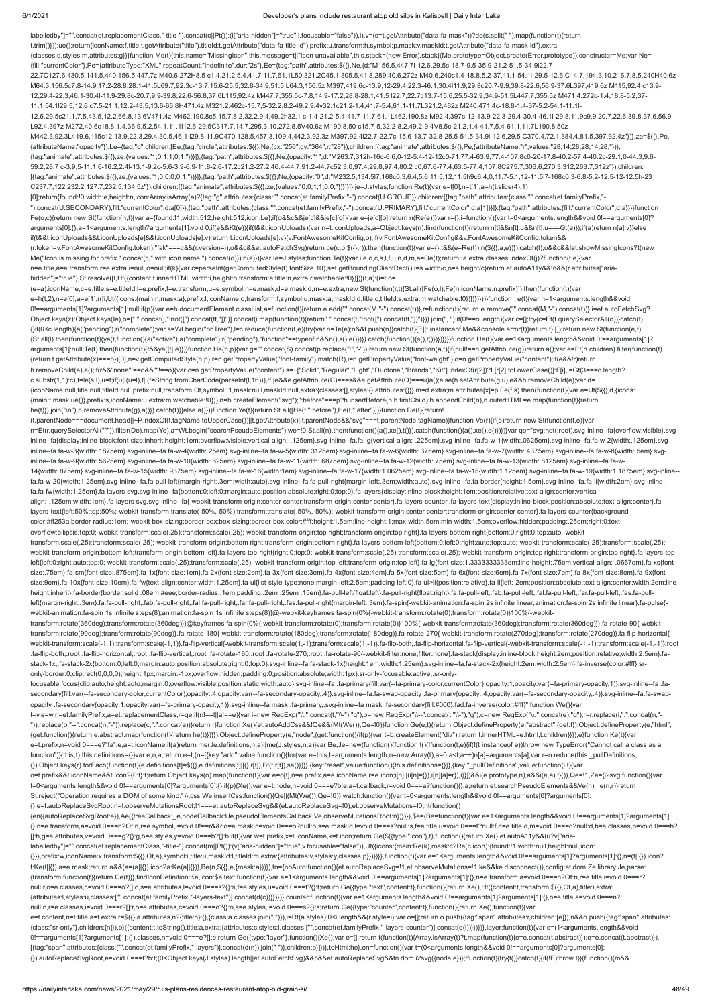## 6/1/2021 Developer's plans include restaurant atop old silos in Kalispell | Daily Inter Lake

labelledby"]="".concat(et.replacementClass,"-title-").concat(c||Pt()):(i["aria-hidden"]="true",i.focusable="false")),i),v=(s=t.getAttribute("data-fa-mask"))?de(s.split(" ").map(function(t){return t.trim()})):ue();return{iconName:f,title:t.getAttribute("title"),titleId:t.getAttribute("data-fa-title-id"),prefix:u,transform:h,symbol:p,mask:v,maskId:t.getAttribute("data-fa-mask-id"),extra: {classes:d,styles:m,attributes:g}}}function Me(t){this.name="MissingIcon",this.message=t||"Icon unavailable",this.stack=(new Error).stack}(Me.prototype=Object.create(Error.prototype)).constructor=Me;var Ne= {fill:"currentColor"},Pe={attributeType:"XML",repeatCount:"indefinite",dur:"2s"},Ee={tag:"path",attributes:\$({},Ne,{d:"M156.5,447.7l-12.6,29.5c-18.7-9.5-35.9-21.2-51.5-34.9l22.7- 22.7C127.6,430.5,141.5,440,156.5,447.7z M40.6,272H8.5 c1.4,21.2,5.4,41.7,11.7,61.1L50,321.2C45.1,305.5,41.8,289,40.6,272z M40.6,240c1.4-18.8,5.2-37,11.1-54.1l-29.5-12.6 C14.7,194.3,10,216.7,8.5,240H40.6z M64.3,156.5c7.8-14.9,17.2-28.8,28.1-41.5L69.7,92.3c-13.7,15.6-25.5,32.8-34.9,51.5 L64.3,156.5z M397,419.6c-13.9,12-29.4,22.3-46.1,30.4l11.9,29.8c20.7-9.9,39.8-22.6,56.9-37.6L397,419.6z M115,92.4 c13.9- 12,29.4-22.3,46.1-30.4l-11.9-29.8c-20.7,9.9-39.8,22.6-56.8,37.6L115,92.4z M447.7,355.5c-7.8,14.9-17.2,28.8-28.1,41.5 l22.7,22.7c13.7-15.6,25.5-32.9,34.9-51.5L447.7,355.5z M471.4,272c-1.4,18.8-5.2,37- 11.1,54.1l29.5,12.6 c7.5-21.1,12.2-43.5,13.6-66.8H471.4z M321.2,462c-15.7,5-32.2,8.2-49.2,9.4v32.1c21.2-1.4,41.7-5.4,61.1-11.7L321.2,462z M240,471.4c-18.8-1.4-37-5.2-54.1-11.1l-12.6,29.5c21.1,7.5,43.5,12.2,66.8,13.6V471.4z M462,190.8c5,15.7,8.2,32.2,9.4,49.2h32.1 c-1.4-21.2-5.4-41.7-11.7-61.1L462,190.8z M92.4,397c-12-13.9-22.3-29.4-30.4-46.1l-29.8,11.9c9.9,20.7,22.6,39.8,37.6,56.9 L92.4,397z M272,40.6c18.8,1.4,36.9,5.2,54.1,11.1l12.6-29.5C317.7,14.7,295.3,10,272,8.5V40.6z M190.8,50 c15.7-5,32.2-8.2,49.2-9.4V8.5c-21.2,1.4-41.7,5.4-61.1,11.7L190.8,50z M442.3,92.3L419.6,115c12,13.9,22.3,29.4,30.5,46.1 l29.8-11.9C470,128.5,457.3,109.4,442.3,92.3z M397,92.4l22.7-22.7c-15.6-13.7-32.8-25.5-51.5-34.9l-12.6,29.5 C370.4,72.1,384.4,81.5,397,92.4z"})},ze=\$({},Pe, {attributeName:"opacity"}),Le={tag:"g",children:[Ee,{tag:"circle",attributes:\$({},Ne,{cx:"256",cy:"364",r:"28"}),children:[{tag:"animate",attributes:\$({},Pe,{attributeName:"r",values:"28;14;28;28;14;28;"})}, {tag:"animate",attributes:\$({},ze,{values:"1;0;1;1;0;1;"})}]},{tag:"path",attributes:\$({},Ne,{opacity:"1",d:"M263.7,312h-16c-6.6,0-12-5.4-12-12c0-71,77.4-63.9,77.4-107.8c0-20-17.8-40.2-57.4-40.2c-29.1,0-44.3,9.6- 59.2,28.7 c-3.9,5-11.1,6-16.2,2.4l-13.1-9.2c-5.6-3.9-6.9-11.8-2.6-17.2c21.2-27.2,46.4-44.7,91.2-44.7c52.3,0,97.4,29.8,97.4,80.2 c0,67.6-77.4,63.5-77.4,107.8C275.7,306.6,270.3,312,263.7,312z"}),children: [{tag:"animate",attributes:\$({},ze,{values:"1;0;0;0;0;1;"})}]},{tag:"path",attributes:\$({},Ne,{opacity:"0",d:"M232.5,134.5l7,168c0.3,6.4,5.6,11.5,12,11.5h9c6.4,0,11.7-5.1,12-11.5l7-168c0.3-6.8-5.2-12.5-12-12.5h-23 C237.7,122,232.2,127.7,232.5,134.5z"}),children:[{tag:"animate",attributes:\$({},ze,{values:"0;0;1;1;0;0;"})}]}]},je=J.styles;function Re(t){var e=t[0],n=t[1],a=h(t.slice(4),1) [0];return{found:!0,width:e,height:n,icon:Array.isArray(a)?{tag:"g",attributes:{class:"".concat(et.familyPrefix,"-").concat(U.GROUP)},children:[{tag:"path",attributes:{class:"".concat(et.familyPrefix,"- ").concat(U.SECONDARY),fill:"currentColor",d:a[0]}},{tag:"path",attributes:{class:"".concat(et.familyPrefix,"-").concat(U.PRIMARY),fill:"currentColor",d:a[1]}}]}:{tag:"path",attributes:{fill:"currentColor",d:a}}}}function Fe(o,c){return new St(function(n,t){var a={found:!1,width:512,height:512,icon:Le};if(o&&c&&je[c]&&je[c][o]){var e=je[c][o];return n(Re(e))}var r={},i=function(){var t=0<arguments.length&&void 0!==arguments[0]? arguments[0]:{},e=1<arguments.length?arguments[1]:void 0;if(e&&Kt(e)){if(t&&t.iconUploads){var n=t.iconUploads,a=Object.keys(n).find(function(t){return n[t]&&n[t].u&&n[t].u===Gt(e)});if(a)return n[a].v}}else if(t&&t.iconUploads&&t.iconUploads[e]&&t.iconUploads[e].v)return t.iconUploads[e].v}(v.FontAwesomeKitConfig,o);if(v.FontAwesomeKitConfig&&v.FontAwesomeKitConfig.token&& (r.token=v.FontAwesomeKitConfig.token),"fak"===c&&(r.version=i),o&&c&&et.autoFetchSvg)return ce(c,o,\$({},r)).then(function(t){var e={};t&&(e=Re(t)),n(\$({},a,e))}).catch(t);o&&c&&!et.showMissingIcons?t(new Me("Icon is missing for prefix ".concat(c," with icon name ").concat(o))):n(a)})}var le=J.styles;function Te(t){var i,e,o,c,s,l,f,u,n,d,m,a=Oe(t);return~a.extra.classes.indexOf(j)?function(t,e){var n=e.title,a=e.transform,r=e.extra,i=null,o=null;if(k){var c=parseInt(getComputedStyle(t).fontSize,10),s=t.getBoundingClientRect();i=s.width/c,o=s.height/c}return et.autoA11y&&!n&&(r.attributes["ariahidden"]="true"),St.resolve([t,Ht({content:t.innerHTML,width:i,height:o,transform:a,title:n,extra:r,watchable:!0})])}(t,a):(i=t,o= (e=a).iconName,c=e.title,s=e.titleId,l=e.prefix,f=e.transform,u=e.symbol,n=e.mask,d=e.maskId,m=e.extra,new St(function(r,t){St.all([Fe(o,l),Fe(n.iconName,n.prefix)]).then(function(t){var e=h(t,2),n=e[0],a=e[1];r([i,Ut({icons:{main:n,mask:a},prefix:l,iconName:o,transform:f,symbol:u,mask:a,maskId:d,title:c,titleId:s,extra:m,watchable:!0})])})}))}function \_e(t){var n=1<arguments.length&&void 0!==arguments[1]?arguments[1]:null;if(p){var e=b.documentElement.classList,a=function(t){return e.add("".concat(M,"-").concat(t))},r=function(t){return e.remove("".concat(M,"-").concat(t))},i=et.autoFetchSvg? Object.keys(z):Object.keys(le),o=[".".concat(j,":not([").concat(tt,"])")].concat(i.map(function(t){return".".concat(t,":not([").concat(tt,"])")}).join(", ");if(0!==o.length){var c=[];try{c=Et(t.querySelectorAll(o))}catch(t {}if(0<c.length){a("pending"),r("complete");var s=Wt.begin("onTree"),l=c.reduce(function(t,e){try{var n=Te(e);n&&t.push(n)}catch(t){E||t instanceof Me&&console.error(t)}return t},[]);return new St(function(e,t) {St.all(l).then(function(t){ye(t,function(){a("active"),a("complete"),r("pending"),"function"==typeof n&&n(),s(),e()})}).catch(function(){s(),t()})})}}}}function Ue(t){var e=1<arguments.length&&void 0!==arguments[1]? arguments[1]:null;Te(t).then(function(t){t&&ye([t],e)})}function He(h,p){var g="".concat(S).concat(p.replace(":","-"));return new St(function(a,t){if(null!==h.getAttribute(g))return a();var e=Et(h.children).filter(function {return t.getAttribute(x)===p})[0],n=v.getComputedStyle(h,p),r=n.getPropertyValue("font-family").match(R),i=n.getPropertyValue("font-weight"),o=n.getPropertyValue("content");if(e&&!r)return h.removeChild(e),a();if(r&&"none"!==o&&""!==o){var c=n.getPropertyValue("content"),s=~["Solid","Regular","Light","Duotone","Brands","Kit"].indexOf(r[2])?L[r[2].toLowerCase()]:F[i],l=Gt(3===c.length? c.substr(1,1):c),f=le(s,l),u=f;if(u||(u=l),f||(f=String.fromCharCode(parseInt(l,16))),!f||e&&e.getAttribute(C)===s&&e.getAttribute(O)===u)a();else{h.setAttribute(g,u),e&&h.removeChild(e);var d= {iconName:null,title:null,titleId:null,prefix:null,transform:Ot,symbol:!1,mask:null,maskId:null,extra:{classes:[],styles:{},attributes:{}}},m=d.extra;m.attributes[x]=p,Fe(f,s).then(function(t){var e=Ut(\$({},d,{icons: {main:t,mask:ue()},prefix:s,iconName:u,extra:m,watchable:!0})),n=b.createElement("svg");":before"===p?h.insertBefore(n,h.firstChild):h.appendChild(n),n.outerHTML=e.map(function(t){return he(t)}).join("\n"),h.removeAttribute(g),a()}).catch(t)}}else a()})}function Ye(t){return St.all([He(t,":before"),He(t,":after")])}function De(t){return! (t.parentNode===document.head||~P.indexOf(t.tagName.toUpperCase())||t.getAttribute(x)||t.parentNode&&"svg"===t.parentNode.tagName)}function Ve(r){if(p)return new St(function(t,e){var n=Et(r.querySelectorAll("\*")).filter(De).map(Ye),a=Wt.begin("searchPseudoElements");we=!0,St.all(n).then(function(){a(),xe(),t()}).catch(function(){a(),xe(),e()}}})}var qe="svg:not(:root).svg-inline--fa{overflow:visible}.s inline--fa{display:inline-block;font-size:inherit;height:1em;overflow:visible;vertical-align:-.125em}.svg-inline--fa.fa-lg{vertical-align:-.225em}.svg-inline--fa.fa-w-1{width:.0625em}.svg-inline--fa.fa-w-2{width:.125em}.sv inline--fa.fa-w-3{width:.1875em}.svg-inline--fa.fa-w-4{width:.25em}.svg-inline--fa.fa-w-5{width:.3125em}.svg-inline--fa.fa-w-6{width:.375em}.svg-inline--fa.fa-w-7{width:.4375em}.svg-inline--fa.fa-w-8{width:.5em}.svg-inline inline--fa.fa-w-9{width:.5625em}.svg-inline--fa.fa-w-10{width:.625em}.svg-inline--fa.fa-w-11{width:.6875em}.svg-inline--fa.fa-w-12{width:.75em}.svg-inline--fa.fa-w-12{width:.625em}.svg-inline--fa.fa-w-13{width:.75em}.svg-i 14{width:.875em}.svg-inline--fa.fa-w-15{width:.9375em}.svg-inline--fa.fa-w-16{width:1em}.svg-inline--fa.fa-w-17{width:1.0625em}.svg-inline--fa.fa-w-18{width:1.125em}.svg-inline--fa.fa-w-19{width:1.1875em}.svg-inline- fa.fa-w-20{width:1.25em}.svg-inline--fa.fa-pull-left{margin-right:.3em;width:auto}.svg-inline--fa.fa-pull-right{margin-left:.3em;width:auto}.svg-inline--fa.fa-border{height:1.5em}.svg-inline--fa.fa-li{width:2em}.svg-inline- fa.fa-fw{width:1.25em}.fa-layers svg.svg-inline--fa{bottom:0;left:0;margin:auto;position:absolute;right:0;top:0}.fa-layers{display:inline-block;height:1em;position:relative;text-align:center;verticalalign:-.125em;width:1em}.fa-layers svg.svg-inline--fa{-webkit-transform-origin:center center;transform-origin:center center}.fa-layers-counter,.fa-layers-text{display:inline-block;position:absolute;text-align:center}.falayers-text{left:50%;top:50%;-webkit-transform:translate(-50%,-50%);transform:translate(-50%,-50%);-webkit-transform-origin:center center;transform-origin:center center}.fa-layers-counter{backgroundcolor:#ff253a;border-radius:1em;-webkit-box-sizing:border-box;box-sizing:border-box;color:#fff;height:1.5em;line-height:1;max-width:5em;min-width:1.5em;overflow:hidden;padding:.25em;right:0;textoverflow:ellipsis;top:0;-webkit-transform:scale(.25);transform:scale(.25);-webkit-transform-origin:top right;transform-origin:top right}.fa-layers-bottom-right{bottom:0;right:0;top:auto;-webkittransform:scale(.25);transform:scale(.25);-webkit-transform-origin:bottom right;transform-origin:bottom right}.fa-layers-bottom-left{bottom:0;left:0;right:auto;top:auto;-webkit-transform:scale(.25);transform:scale(.25); webkit-transform-origin:bottom left;transform-origin:bottom left}.fa-layers-top-right{right:0;top:0;-webkit-transform:scale(.25);transform:scale(.25);-webkit-transform-origin:top right;transform-origin:top right}.fa-layers left{left:0;right:auto;top:0;-webkit-transform:scale(.25);transform:scale(.25);-webkit-transform-origin:top left;transform-origin:top left}.fa-lg{font-size:1.3333333333em;line-height:.75em;vertical-align:-.0667em}.fa-xs{fontsize:.75em}.fa-sm{font-size:.875em}.fa-1x{font-size:1em}.fa-2x{font-size:2em}.fa-3x{font-size:3em}.fa-4x{font-size:4em}.fa-5x{font-size:5em}.fa-6x{font-size:6em}.fa-6x{font-size:6em}.fa-6x{font-size:6em}.fa-6x{font-size:6e size:9em}.fa-10x{font-size:10em}.fa-fw{text-align:center;width:1.25em}.fa-ul{list-style-type:none;margin-left:2.5em;padding-left:0}.fa-ul>li{position:relative}.fa-li{left:-2em;position:absolute;text-align:center;width:2em; height:inherit}.fa-border{border:solid .08em #eee;border-radius:.1em;padding:.2em .25em .15em}.fa-pull-left{float:left}.fa-pull-right{float:right}.fa.fa-pull-left,.fab.fa-pull-left,.fab.fa-pull-left,.fal.fa-pull-left,.fan. left{margin-right:.3em}.fa.fa-pull-right,.fab.fa-pull-right,.fal.fa-pull-right,.fal.fa-pull-right,.far.fa-pull-right,.far.fa-pull-right,.fas.fa-pull-right(nargin-left:.3em}.fa-spin{-webkit-animation:fa-spin 2s infinite lin webkit-animation:fa-spin 1s infinite steps(8);animation:fa-spin 1s infinite steps(8)}@-webkit-keyframes fa-spin{0%{-webkit-transform:rotate(0);transform:rotate(0)}100%{-webkittransform:rotate(360deg);transform:rotate(360deg)}}@keyframes fa-spin{0%{-webkit-transform:rotate(0);transform:rotate(0)}100%{-webkit-transform:rotate(360deg);transform:rotate(360deg)}}.fa-rotate-90{-webkittransform:rotate(90deg);transform:rotate(90deg)}.fa-rotate-180{-webkit-transform:rotate(180deg);transform:rotate(180deg)}.fa-rotate-270{-webkit-transform:rotate(270deg);transform:rotate(270deg)}.fa-flip-horizontal{ webkit-transform:scale(-1,1);transform:scale(-1,1)}.fa-flip-vertical{-webkit-transform:scale(1,-1);transform:scale(1,-1)}.fa-flip-both,.fa-flip-both,da-flip-horizontal.fa-flip-vertical{-webkit-transform:scale(-1,-1)}:root -fa-flip-both,:root .fa-flip-horizontal,:root .fa-flip-vertical,:root .fa-rotate-180,:root .fa-rotate-270,:root .fa-rotate-90{-webkit-filter:none;filter:none}.fa-stack{display:inline-block;height:2em;position:relative;widt stack-1x,.fa-stack-2x{bottom:0;left:0;margin:auto;position:absolute;right:0;top:0}.svg-inline--fa.fa-stack-1x{height:1em;width:1.25em}.svg-inline--fa.fa-stack-2x{height:2em;width:2.5em}.fa-inverse{color:#fff}.sronly{border:0;clip:rect(0,0,0,0);height:1px;margin:-1px;overflow:hidden;padding:0;position:absolute;width:1px}.sr-only-focusable:active,.sr-onlyfocusable:focus{clip:auto;height:auto;margin:0;overflow:visible;position:static;width:auto}.svg-inline--fa .fa-primary{fill:var(--fa-primary-color,currentColor);opacity:1;opacity:1-ra-primary-opacity,1)}.svg-inline--fa .fa

e=t.prefix,n=void 0===e?"fa":e,a=t.iconName;if(a)return me(Je.definitions,n,a)||me(J.styles,n,a)}var Be,Je=new(function(){function t(){!function(t,e){if(!(t instanceof e))throw new TypeError("Cannot call a class as a function")}(this,t),this.definitions={}}var e,n,a;return e=t,(n=[{key:"add",value:function(){for(var e=this,t=arguments.length,n=new Array(t),a=0;a<t;a++)n[a]=arguments[a];var r=n.reduce(this.\_pullDefinitions,

secondary{fill:var(--fa-secondary-color,currentColor);opacity:.4;opacity:var(--fa-secondary-opacity,.4)}.svg-inline--fa.fa-swap-opacity .fa-primary{opacity:.4;opacity:var(--fa-secondary-opacity,.4)}.svg-inline--fa.fa-swapopacity .fa-secondary{opacity:1;opacity:var(--fa-primary-opacity,1)}.svg-inline--fa mask .fa-primary,.svg-inline--fa mask .fa-secondary{fill:#000}.fad.fa-inverse{color:#fff}";function We(){var t=y,e=w,n=et.familyPrefix,a=et.replacementClass,r=qe;if(n!==t||a!==e){var i=new RegExp("\\.".concat(t,"\\-"),"g"),o=new RegExp("\\--".concat(t,"\\-"),"g"),c=new RegExp("\\.".concat(e),"g");r=r.replace(i,".".concat(n,"- ")).replace(o,"--".concat(n,"-")).replace(c,".".concat(a))}return r}function Xe(){et.autoAddCss&&!Qe&&(Mt(We()),Qe=!0)}function Ge(e,t){return Object.defineProperty(e,"abstract",{get:t}),Object.defineProperty(e,"html", {get:function(){return e.abstract.map(function(t){return he(t)})}}),Object.defineProperty(e,"node",{get:function(){if(p){var t=b.createElement("div");return t.innerHTML=e.html,t.children}}}),e}function Ke(t){var

{});Object.keys(r).forEach(function(t){e.definitions[t]=\$({},e.definitions[t]||{},r[t]),Bt(t,r[t]),se()})}},{key:"reset",value:function(){this.definitions={}}},{key:"\_pullDefinitions",value:function(i,t){var o=t.prefix&&t.iconName&&t.icon?{0:t}:t;return Object.keys(o).map(function(t){var e=o[t],n=e.prefix,a=e.iconName,r=e.icon;i[n]||(i[n]={}),i[n][a]=r}),i}}])&&i(e.prototype,n),a&&i(e,a),t}()),Qe=!1,Ze={i2svg:function(){var t=0<arguments.length&&void 0!==arguments[0]?arguments[0]:{};if(p){Xe();var e=t.node,n=void 0===e?b:e,a=t.callback,r=void 0===a?function(){}:a;return et.searchPseudoElements&&Ve(n),\_e(n,r)}return St.reject("Operation requires a DOM of some kind.")},css:We,insertCss:function(){Qe||(Mt(We()),Qe=!0)},watch:function(){var t=0<arguments.length&&void 0!==arguments[0]?arguments[0]: {},e=t.autoReplaceSvgRoot,n=t.observeMutationsRoot;!1===et.autoReplaceSvg&&(et.autoReplaceSvg=!0),et.observeMutations=!0,nt(function() {en({autoReplaceSvgRoot:e}),Ae({treeCallback:\_e,nodeCallback:Ue,pseudoElementsCallback:Ve,observeMutationsRoot:n})})}},\$e=(Be=function(t){var e=1<arguments.length&&void 0!==arguments[1]?arguments[1]: {},n=e.transform,a=void 0===n?Ot:n,r=e.symbol,i=void 0!==r&&r,o=e.mask,c=void 0===o?null:o,s=e.maskId,l=void 0===s?null:s,f=e.title,u=void 0===f?null:f,d=e.titleId,m=void 0===d?null:d,h=e.classes,p=void 0===h? []:h,g=e.attributes,v=void 0===g?{}:g,b=e.styles,y=void 0===b?{}:b;if(t){var w=t.prefix,x=t.iconName,k=t.icon;return Ge(\$({type:"icon"},t),function(){return Xe(),et.autoA11y&&(u?v["arialabelledby"]="".concat(et.replacementClass,"-title-").concat(m||Pt()):(v["aria-hidden"]="true",v.focusable="false")),Ut({icons:{main:Re(k),mask:c?Re(c.icon):{found:!1,width:null,height:null,icon: {}}},prefix:w,iconName:x,transform:\$({},Ot,a),symbol:i,title:u,maskId:l,titleId:m,extra:{attributes:v,styles:y,classes:p}})})}},function(t){var e=1<arguments.length&&void 0!==arguments[1]?arguments[1]:{},n=(t||{}).icon? t:Ke(t||{}),a=e.mask;return a&&(a=(a||{}).icon?a:Ke(a||{})),Be(n,\$({},e,{mask:a}))}),tn={noAuto:function(){et.autoReplaceSvg=!1,et.observeMutations=!1,ke&&ke.disconnect()},config:et,dom:Ze,library:Je,parse: {transform:function(t){return Ce(t)}},findIconDefinition:Ke,icon:\$e,text:function(t){var e=1<arguments.length&&void 0!==arguments[1]?arguments[1]:{},n=e.transform,a=void 0===n?Ot:n,r=e.title,i=void 0===r? null:r,o=e.classes,c=void 0===o?[]:o,s=e.attributes,l=void 0===s?{}:s,f=e.styles,u=void 0===f?{}:f;return Ge({type:"text",content:t},function(){return Xe(),Ht({content:t,transform:\$({},Ot,a),title:i,extra: {attributes:l,styles:u,classes:["".concat(et.familyPrefix,"-layers-text")].concat(d(c))}})})},counter:function(t){var e=1<arguments.length&&void 0!==arguments[1]?arguments[1]:{},n=e.title,a=void 0===n? null:n,r=e.classes,i=void 0===r?[]:r,o=e.attributes,c=void 0===o?{}:o,s=e.styles,l=void 0===s?{}:s;return Ge({type:"counter",content:t},function(){return Xe(),function(t){var e=t.content,n=t.title,a=t.extra,r=\$({},a.attributes,n?{title:n}:{},{class:a.classes.join(""}),i=Rt(a.styles);0<i.length&&(r.style=i);var o=[];return o.push({tag:"span",attributes:r,children:[e]}),n&&o.push({tag:"span",attr {class:"sr-only"},children:[n]}),o}({content:t.toString(),title:a,extra:{attributes:c,styles:l,classes:["".concat(et.familyPrefix,"-layers-counter")].concat(d(i))}})})},layer:function(t){var e=(1<arguments.length&&void 0!==arguments[1]?arguments[1]:{}).classes,n=void 0===e?[]:e;return Ge({type:"layer"},function(){Xe();var e=[];return t(function(t){Array.isArray(t)?t.map(function(t){e=e.concat(t.abstract)}):e=e.concat(t.abstract)}), [{tag:"span",attributes:{class:["".concat(et.familyPrefix,"-layers")].concat(d(n)).join(" ")},children:e}]})},toHtml:he},en=function(){var t=(0<arguments.length&&void 0!==arguments[0]?arguments[0]: {}).autoReplaceSvgRoot,e=void 0===t?b:t;(0<Object.keys(J.styles).length||et.autoFetchSvg)&&p&&et.autoReplaceSvg&&tn.dom.i2svg({node:e})};!function(t){try{t()}catch(t){if(!E)throw t}}(function(){m&&